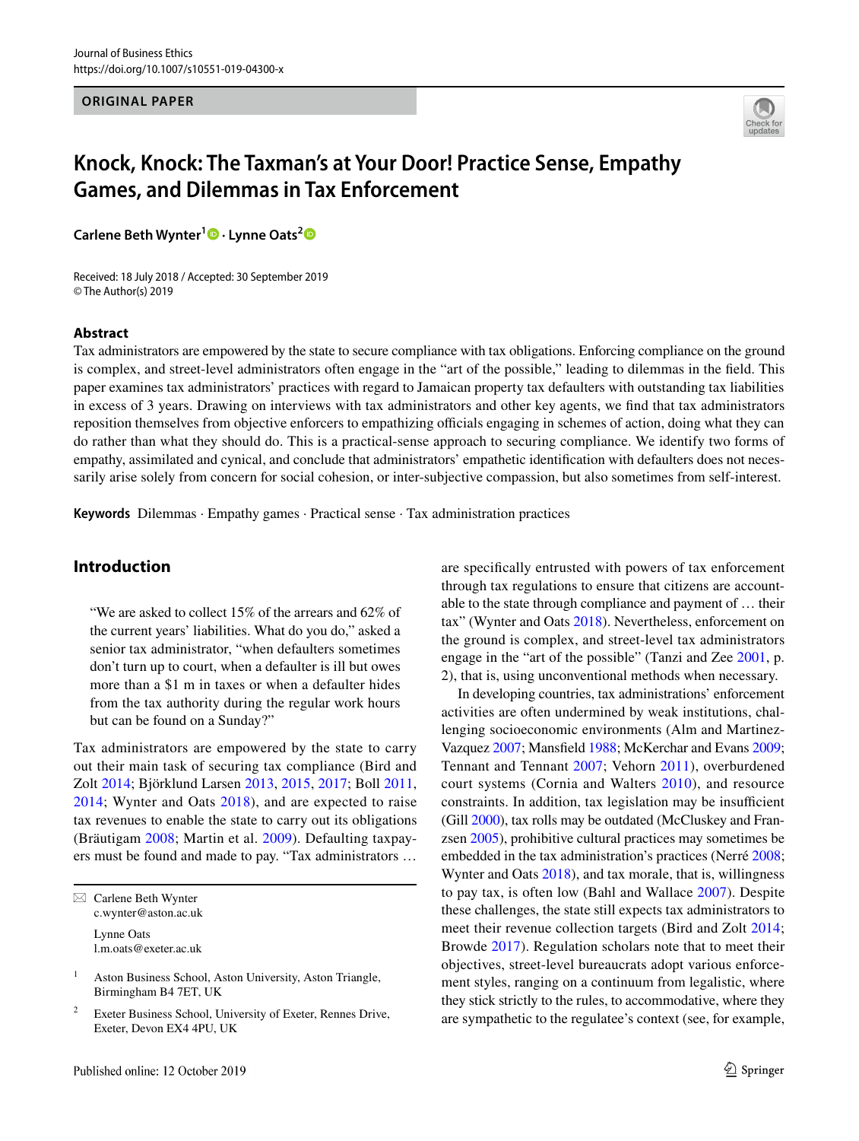#### **ORIGINAL PAPER**



# **Knock, Knock: The Taxman's at Your Door! Practice Sense, Empathy Games, and Dilemmas in Tax Enforcement**

**Carlene Beth Wynter1 · Lynne Oats[2](http://orcid.org/0000-0002-0343-8302)**

Received: 18 July 2018 / Accepted: 30 September 2019 © The Author(s) 2019

#### **Abstract**

Tax administrators are empowered by the state to secure compliance with tax obligations. Enforcing compliance on the ground is complex, and street-level administrators often engage in the "art of the possible," leading to dilemmas in the feld. This paper examines tax administrators' practices with regard to Jamaican property tax defaulters with outstanding tax liabilities in excess of 3 years. Drawing on interviews with tax administrators and other key agents, we fnd that tax administrators reposition themselves from objective enforcers to empathizing officials engaging in schemes of action, doing what they can do rather than what they should do. This is a practical-sense approach to securing compliance. We identify two forms of empathy, assimilated and cynical, and conclude that administrators' empathetic identifcation with defaulters does not necessarily arise solely from concern for social cohesion, or inter-subjective compassion, but also sometimes from self-interest.

**Keywords** Dilemmas · Empathy games · Practical sense · Tax administration practices

# **Introduction**

"We are asked to collect 15% of the arrears and 62% of the current years' liabilities. What do you do," asked a senior tax administrator, "when defaulters sometimes don't turn up to court, when a defaulter is ill but owes more than a \$1 m in taxes or when a defaulter hides from the tax authority during the regular work hours but can be found on a Sunday?"

Tax administrators are empowered by the state to carry out their main task of securing tax compliance (Bird and Zolt [2014;](#page-11-0) Björklund Larsen [2013](#page-11-1), [2015,](#page-11-2) [2017;](#page-11-3) Boll [2011,](#page-11-4) [2014;](#page-11-5) Wynter and Oats [2018\)](#page-13-0), and are expected to raise tax revenues to enable the state to carry out its obligations (Bräutigam [2008](#page-12-0); Martin et al. [2009\)](#page-13-1). Defaulting taxpayers must be found and made to pay. "Tax administrators …

 $\boxtimes$  Carlene Beth Wynter c.wynter@aston.ac.uk Lynne Oats l.m.oats@exeter.ac.uk

<sup>1</sup> Aston Business School, Aston University, Aston Triangle, Birmingham B4 7ET, UK

Exeter Business School, University of Exeter, Rennes Drive, Exeter, Devon EX4 4PU, UK

are specifcally entrusted with powers of tax enforcement through tax regulations to ensure that citizens are accountable to the state through compliance and payment of … their tax" (Wynter and Oats [2018\)](#page-13-0). Nevertheless, enforcement on the ground is complex, and street-level tax administrators engage in the "art of the possible" (Tanzi and Zee [2001](#page-13-2), p. 2), that is, using unconventional methods when necessary.

In developing countries, tax administrations' enforcement activities are often undermined by weak institutions, challenging socioeconomic environments (Alm and Martinez-Vazquez [2007;](#page-11-6) Mansfeld [1988;](#page-13-3) McKerchar and Evans [2009](#page-13-4); Tennant and Tennant [2007](#page-13-5); Vehorn [2011\)](#page-13-6), overburdened court systems (Cornia and Walters [2010\)](#page-12-1), and resource constraints. In addition, tax legislation may be insufficient (Gill [2000\)](#page-12-2), tax rolls may be outdated (McCluskey and Franzsen [2005](#page-13-7)), prohibitive cultural practices may sometimes be embedded in the tax administration's practices (Nerré [2008](#page-13-8); Wynter and Oats [2018](#page-13-0)), and tax morale, that is, willingness to pay tax, is often low (Bahl and Wallace [2007](#page-11-7)). Despite these challenges, the state still expects tax administrators to meet their revenue collection targets (Bird and Zolt [2014](#page-11-0); Browde [2017](#page-12-3)). Regulation scholars note that to meet their objectives, street-level bureaucrats adopt various enforcement styles, ranging on a continuum from legalistic, where they stick strictly to the rules, to accommodative, where they are sympathetic to the regulatee's context (see, for example,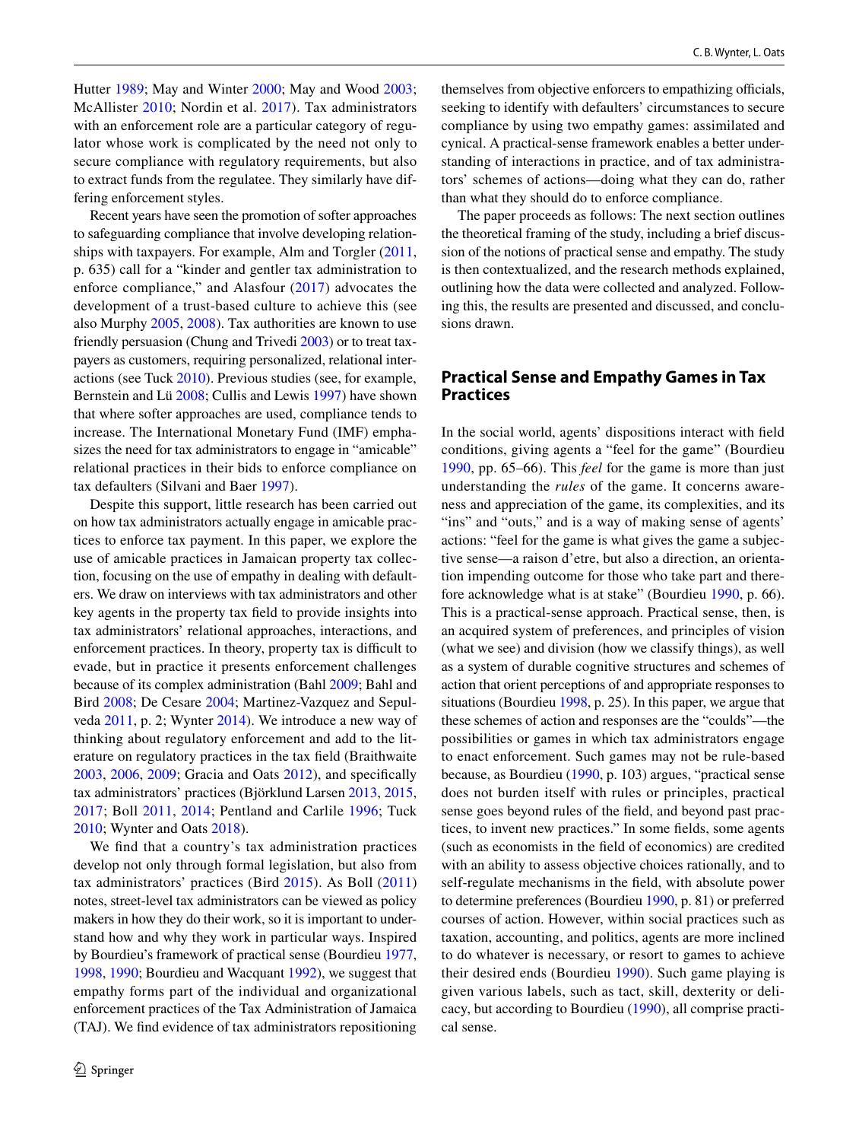Hutter [1989;](#page-12-4) May and Winter [2000](#page-13-9); May and Wood [2003](#page-13-10); McAllister [2010;](#page-13-11) Nordin et al. [2017](#page-13-12)). Tax administrators with an enforcement role are a particular category of regulator whose work is complicated by the need not only to secure compliance with regulatory requirements, but also to extract funds from the regulatee. They similarly have differing enforcement styles.

Recent years have seen the promotion of softer approaches to safeguarding compliance that involve developing relationships with taxpayers. For example, Alm and Torgler [\(2011,](#page-11-8) p. 635) call for a "kinder and gentler tax administration to enforce compliance," and Alasfour ([2017\)](#page-11-9) advocates the development of a trust-based culture to achieve this (see also Murphy [2005,](#page-13-13) [2008\)](#page-13-14). Tax authorities are known to use friendly persuasion (Chung and Trivedi [2003](#page-12-5)) or to treat taxpayers as customers, requiring personalized, relational interactions (see Tuck [2010\)](#page-13-15). Previous studies (see, for example, Bernstein and Lü [2008](#page-11-10); Cullis and Lewis [1997\)](#page-12-6) have shown that where softer approaches are used, compliance tends to increase. The International Monetary Fund (IMF) emphasizes the need for tax administrators to engage in "amicable" relational practices in their bids to enforce compliance on tax defaulters (Silvani and Baer [1997\)](#page-13-16).

Despite this support, little research has been carried out on how tax administrators actually engage in amicable practices to enforce tax payment. In this paper, we explore the use of amicable practices in Jamaican property tax collection, focusing on the use of empathy in dealing with defaulters. We draw on interviews with tax administrators and other key agents in the property tax feld to provide insights into tax administrators' relational approaches, interactions, and enforcement practices. In theory, property tax is difficult to evade, but in practice it presents enforcement challenges because of its complex administration (Bahl [2009](#page-11-11); Bahl and Bird [2008](#page-11-12); De Cesare [2004;](#page-12-7) Martinez-Vazquez and Sepulveda [2011,](#page-13-17) p. 2; Wynter [2014\)](#page-13-18). We introduce a new way of thinking about regulatory enforcement and add to the literature on regulatory practices in the tax feld (Braithwaite [2003](#page-11-13), [2006,](#page-11-14) [2009](#page-11-15); Gracia and Oats [2012\)](#page-12-8), and specifcally tax administrators' practices (Björklund Larsen [2013,](#page-11-1) [2015,](#page-11-2) [2017;](#page-11-3) Boll [2011,](#page-11-4) [2014](#page-11-5); Pentland and Carlile [1996](#page-13-19); Tuck [2010](#page-13-15); Wynter and Oats [2018\)](#page-13-0).

We fnd that a country's tax administration practices develop not only through formal legislation, but also from tax administrators' practices (Bird [2015](#page-11-16)). As Boll [\(2011\)](#page-11-4) notes, street-level tax administrators can be viewed as policy makers in how they do their work, so it is important to understand how and why they work in particular ways. Inspired by Bourdieu's framework of practical sense (Bourdieu [1977,](#page-11-17) [1998](#page-11-18), [1990;](#page-11-19) Bourdieu and Wacquant [1992\)](#page-11-20), we suggest that empathy forms part of the individual and organizational enforcement practices of the Tax Administration of Jamaica (TAJ). We fnd evidence of tax administrators repositioning themselves from objective enforcers to empathizing officials, seeking to identify with defaulters' circumstances to secure compliance by using two empathy games: assimilated and cynical. A practical-sense framework enables a better understanding of interactions in practice, and of tax administrators' schemes of actions—doing what they can do, rather than what they should do to enforce compliance.

The paper proceeds as follows: The next section outlines the theoretical framing of the study, including a brief discussion of the notions of practical sense and empathy. The study is then contextualized, and the research methods explained, outlining how the data were collected and analyzed. Following this, the results are presented and discussed, and conclusions drawn.

# **Practical Sense and Empathy Games in Tax Practices**

In the social world, agents' dispositions interact with feld conditions, giving agents a "feel for the game" (Bourdieu [1990,](#page-11-19) pp. 65–66). This *feel* for the game is more than just understanding the *rules* of the game. It concerns awareness and appreciation of the game, its complexities, and its "ins" and "outs," and is a way of making sense of agents" actions: "feel for the game is what gives the game a subjective sense—a raison d'etre, but also a direction, an orientation impending outcome for those who take part and therefore acknowledge what is at stake" (Bourdieu [1990,](#page-11-19) p. 66). This is a practical-sense approach. Practical sense, then, is an acquired system of preferences, and principles of vision (what we see) and division (how we classify things), as well as a system of durable cognitive structures and schemes of action that orient perceptions of and appropriate responses to situations (Bourdieu [1998,](#page-11-18) p. 25). In this paper, we argue that these schemes of action and responses are the "coulds"—the possibilities or games in which tax administrators engage to enact enforcement. Such games may not be rule-based because, as Bourdieu ([1990,](#page-11-19) p. 103) argues, "practical sense does not burden itself with rules or principles, practical sense goes beyond rules of the feld, and beyond past practices, to invent new practices." In some felds, some agents (such as economists in the feld of economics) are credited with an ability to assess objective choices rationally, and to self-regulate mechanisms in the feld, with absolute power to determine preferences (Bourdieu [1990,](#page-11-19) p. 81) or preferred courses of action. However, within social practices such as taxation, accounting, and politics, agents are more inclined to do whatever is necessary, or resort to games to achieve their desired ends (Bourdieu [1990](#page-11-19)). Such game playing is given various labels, such as tact, skill, dexterity or delicacy, but according to Bourdieu ([1990\)](#page-11-19), all comprise practical sense.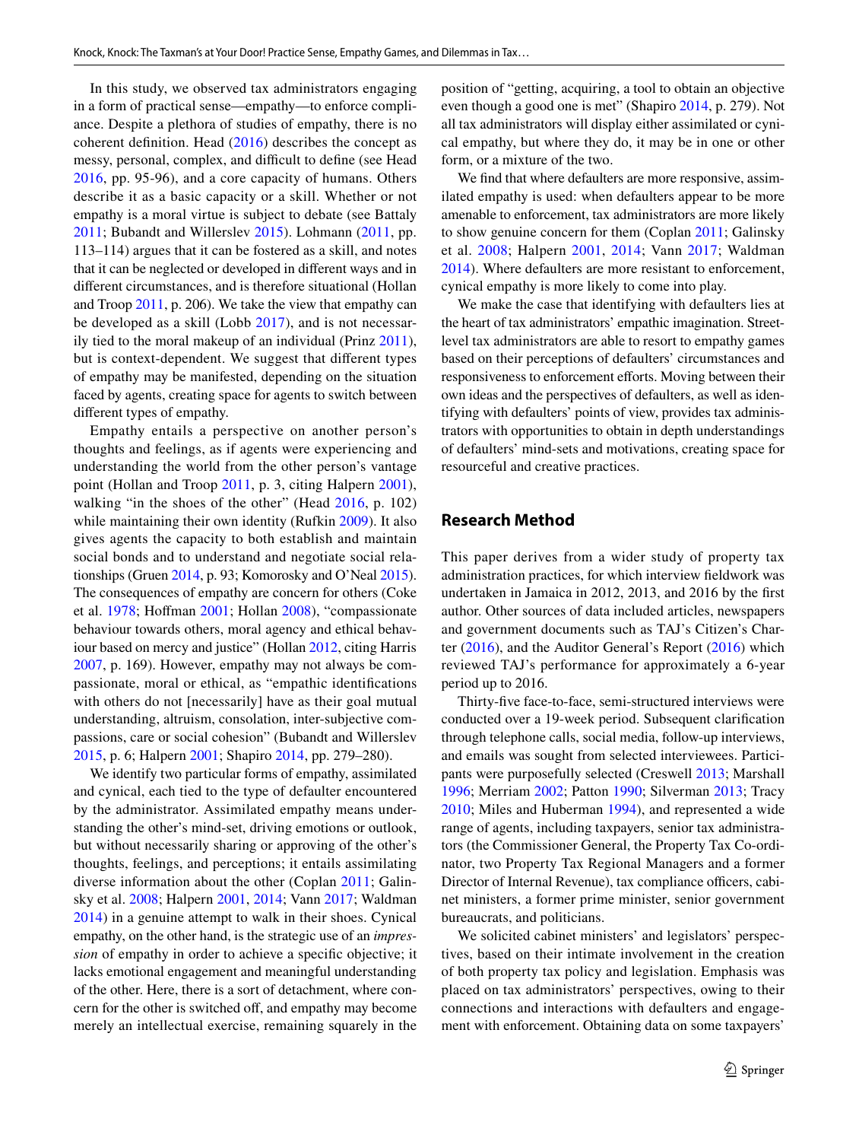In this study, we observed tax administrators engaging in a form of practical sense—empathy—to enforce compliance. Despite a plethora of studies of empathy, there is no coherent defnition. Head ([2016\)](#page-12-9) describes the concept as messy, personal, complex, and difficult to define (see Head [2016,](#page-12-9) pp. 95-96), and a core capacity of humans. Others describe it as a basic capacity or a skill. Whether or not empathy is a moral virtue is subject to debate (see Battaly [2011](#page-11-21); Bubandt and Willerslev [2015\)](#page-12-10). Lohmann ([2011,](#page-12-11) pp. 113–114) argues that it can be fostered as a skill, and notes that it can be neglected or developed in diferent ways and in diferent circumstances, and is therefore situational (Hollan and Troop [2011,](#page-12-12) p. 206). We take the view that empathy can be developed as a skill (Lobb [2017\)](#page-12-13), and is not necessarily tied to the moral makeup of an individual (Prinz [2011](#page-13-20)), but is context-dependent. We suggest that diferent types of empathy may be manifested, depending on the situation faced by agents, creating space for agents to switch between diferent types of empathy.

Empathy entails a perspective on another person's thoughts and feelings, as if agents were experiencing and understanding the world from the other person's vantage point (Hollan and Troop [2011](#page-12-12), p. 3, citing Halpern [2001](#page-12-14)), walking "in the shoes of the other" (Head [2016](#page-12-9), p. 102) while maintaining their own identity (Rufkin [2009\)](#page-13-21). It also gives agents the capacity to both establish and maintain social bonds and to understand and negotiate social relationships (Gruen [2014,](#page-12-15) p. 93; Komorosky and O'Neal [2015](#page-12-16)). The consequences of empathy are concern for others (Coke et al. [1978](#page-12-17); Hofman [2001](#page-12-18); Hollan [2008\)](#page-12-19), "compassionate behaviour towards others, moral agency and ethical behaviour based on mercy and justice" (Hollan [2012](#page-12-20), citing Harris [2007](#page-12-21), p. 169). However, empathy may not always be compassionate, moral or ethical, as "empathic identifcations with others do not [necessarily] have as their goal mutual understanding, altruism, consolation, inter-subjective compassions, care or social cohesion" (Bubandt and Willerslev [2015](#page-12-10), p. 6; Halpern [2001;](#page-12-14) Shapiro [2014](#page-13-22), pp. 279–280).

We identify two particular forms of empathy, assimilated and cynical, each tied to the type of defaulter encountered by the administrator. Assimilated empathy means understanding the other's mind-set, driving emotions or outlook, but without necessarily sharing or approving of the other's thoughts, feelings, and perceptions; it entails assimilating diverse information about the other (Coplan [2011](#page-12-22); Galinsky et al. [2008;](#page-12-23) Halpern [2001,](#page-12-14) [2014](#page-12-24); Vann [2017](#page-13-23); Waldman [2014](#page-13-24)) in a genuine attempt to walk in their shoes. Cynical empathy, on the other hand, is the strategic use of an *impression* of empathy in order to achieve a specifc objective; it lacks emotional engagement and meaningful understanding of the other. Here, there is a sort of detachment, where concern for the other is switched off, and empathy may become merely an intellectual exercise, remaining squarely in the position of "getting, acquiring, a tool to obtain an objective even though a good one is met" (Shapiro [2014](#page-13-22), p. 279). Not all tax administrators will display either assimilated or cynical empathy, but where they do, it may be in one or other form, or a mixture of the two.

We fnd that where defaulters are more responsive, assimilated empathy is used: when defaulters appear to be more amenable to enforcement, tax administrators are more likely to show genuine concern for them (Coplan [2011](#page-12-22); Galinsky et al. [2008](#page-12-23); Halpern [2001,](#page-12-14) [2014;](#page-12-24) Vann [2017;](#page-13-23) Waldman [2014](#page-13-24)). Where defaulters are more resistant to enforcement, cynical empathy is more likely to come into play.

We make the case that identifying with defaulters lies at the heart of tax administrators' empathic imagination. Streetlevel tax administrators are able to resort to empathy games based on their perceptions of defaulters' circumstances and responsiveness to enforcement efforts. Moving between their own ideas and the perspectives of defaulters, as well as identifying with defaulters' points of view, provides tax administrators with opportunities to obtain in depth understandings of defaulters' mind-sets and motivations, creating space for resourceful and creative practices.

# **Research Method**

This paper derives from a wider study of property tax administration practices, for which interview feldwork was undertaken in Jamaica in 2012, 2013, and 2016 by the frst author. Other sources of data included articles, newspapers and government documents such as TAJ's Citizen's Charter ([2016](#page-13-25)), and the Auditor General's Report [\(2016\)](#page-12-25) which reviewed TAJ's performance for approximately a 6-year period up to 2016.

Thirty-fve face-to-face, semi-structured interviews were conducted over a 19-week period. Subsequent clarifcation through telephone calls, social media, follow-up interviews, and emails was sought from selected interviewees. Participants were purposefully selected (Creswell [2013;](#page-12-26) Marshall [1996](#page-13-26); Merriam [2002;](#page-13-27) Patton [1990](#page-13-28); Silverman [2013](#page-13-29); Tracy [2010](#page-13-30); Miles and Huberman [1994](#page-13-31)), and represented a wide range of agents, including taxpayers, senior tax administrators (the Commissioner General, the Property Tax Co-ordinator, two Property Tax Regional Managers and a former Director of Internal Revenue), tax compliance officers, cabinet ministers, a former prime minister, senior government bureaucrats, and politicians.

We solicited cabinet ministers' and legislators' perspectives, based on their intimate involvement in the creation of both property tax policy and legislation. Emphasis was placed on tax administrators' perspectives, owing to their connections and interactions with defaulters and engagement with enforcement. Obtaining data on some taxpayers'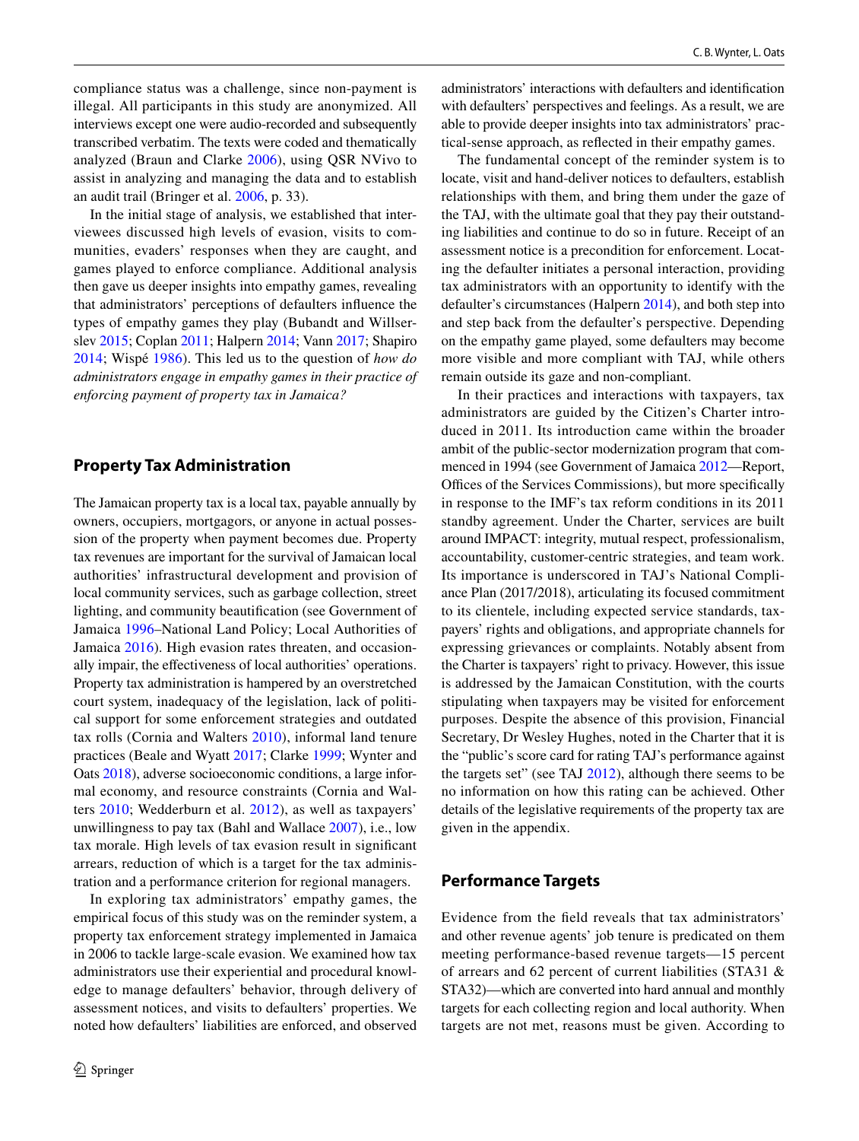compliance status was a challenge, since non-payment is illegal. All participants in this study are anonymized. All interviews except one were audio-recorded and subsequently transcribed verbatim. The texts were coded and thematically analyzed (Braun and Clarke [2006](#page-11-22)), using QSR NVivo to assist in analyzing and managing the data and to establish an audit trail (Bringer et al. [2006](#page-12-27), p. 33).

In the initial stage of analysis, we established that interviewees discussed high levels of evasion, visits to communities, evaders' responses when they are caught, and games played to enforce compliance. Additional analysis then gave us deeper insights into empathy games, revealing that administrators' perceptions of defaulters infuence the types of empathy games they play (Bubandt and Willserslev [2015](#page-12-10); Coplan [2011](#page-12-22); Halpern [2014](#page-12-24); Vann [2017](#page-13-23); Shapiro [2014](#page-13-22); Wispé [1986\)](#page-13-32). This led us to the question of *how do administrators engage in empathy games in their practice of enforcing payment of property tax in Jamaica?*

# **Property Tax Administration**

The Jamaican property tax is a local tax, payable annually by owners, occupiers, mortgagors, or anyone in actual possession of the property when payment becomes due. Property tax revenues are important for the survival of Jamaican local authorities' infrastructural development and provision of local community services, such as garbage collection, street lighting, and community beautifcation (see Government of Jamaica [1996](#page-12-28)–National Land Policy; Local Authorities of Jamaica [2016\)](#page-12-29). High evasion rates threaten, and occasionally impair, the efectiveness of local authorities' operations. Property tax administration is hampered by an overstretched court system, inadequacy of the legislation, lack of political support for some enforcement strategies and outdated tax rolls (Cornia and Walters [2010](#page-12-1)), informal land tenure practices (Beale and Wyatt [2017](#page-11-23); Clarke [1999;](#page-12-30) Wynter and Oats [2018](#page-13-0)), adverse socioeconomic conditions, a large informal economy, and resource constraints (Cornia and Walters [2010;](#page-12-1) Wedderburn et al. [2012\)](#page-13-33), as well as taxpayers' unwillingness to pay tax (Bahl and Wallace [2007](#page-11-7)), i.e., low tax morale. High levels of tax evasion result in signifcant arrears, reduction of which is a target for the tax administration and a performance criterion for regional managers.

In exploring tax administrators' empathy games, the empirical focus of this study was on the reminder system, a property tax enforcement strategy implemented in Jamaica in 2006 to tackle large-scale evasion. We examined how tax administrators use their experiential and procedural knowledge to manage defaulters' behavior, through delivery of assessment notices, and visits to defaulters' properties. We noted how defaulters' liabilities are enforced, and observed administrators' interactions with defaulters and identifcation with defaulters' perspectives and feelings. As a result, we are able to provide deeper insights into tax administrators' practical-sense approach, as refected in their empathy games.

The fundamental concept of the reminder system is to locate, visit and hand-deliver notices to defaulters, establish relationships with them, and bring them under the gaze of the TAJ, with the ultimate goal that they pay their outstanding liabilities and continue to do so in future. Receipt of an assessment notice is a precondition for enforcement. Locating the defaulter initiates a personal interaction, providing tax administrators with an opportunity to identify with the defaulter's circumstances (Halpern [2014](#page-12-24)), and both step into and step back from the defaulter's perspective. Depending on the empathy game played, some defaulters may become more visible and more compliant with TAJ, while others remain outside its gaze and non-compliant.

In their practices and interactions with taxpayers, tax administrators are guided by the Citizen's Charter introduced in 2011. Its introduction came within the broader ambit of the public-sector modernization program that commenced in 1994 (see Government of Jamaica [2012—](#page-12-31)Report, Offices of the Services Commissions), but more specifically in response to the IMF's tax reform conditions in its 2011 standby agreement. Under the Charter, services are built around IMPACT: integrity, mutual respect, professionalism, accountability, customer-centric strategies, and team work. Its importance is underscored in TAJ's National Compliance Plan (2017/2018), articulating its focused commitment to its clientele, including expected service standards, taxpayers' rights and obligations, and appropriate channels for expressing grievances or complaints. Notably absent from the Charter is taxpayers' right to privacy. However, this issue is addressed by the Jamaican Constitution, with the courts stipulating when taxpayers may be visited for enforcement purposes. Despite the absence of this provision, Financial Secretary, Dr Wesley Hughes, noted in the Charter that it is the "public's score card for rating TAJ's performance against the targets set" (see TAJ [2012](#page-13-34)), although there seems to be no information on how this rating can be achieved. Other details of the legislative requirements of the property tax are given in the appendix.

# **Performance Targets**

Evidence from the feld reveals that tax administrators' and other revenue agents' job tenure is predicated on them meeting performance-based revenue targets—15 percent of arrears and 62 percent of current liabilities (STA31 & STA32)—which are converted into hard annual and monthly targets for each collecting region and local authority. When targets are not met, reasons must be given. According to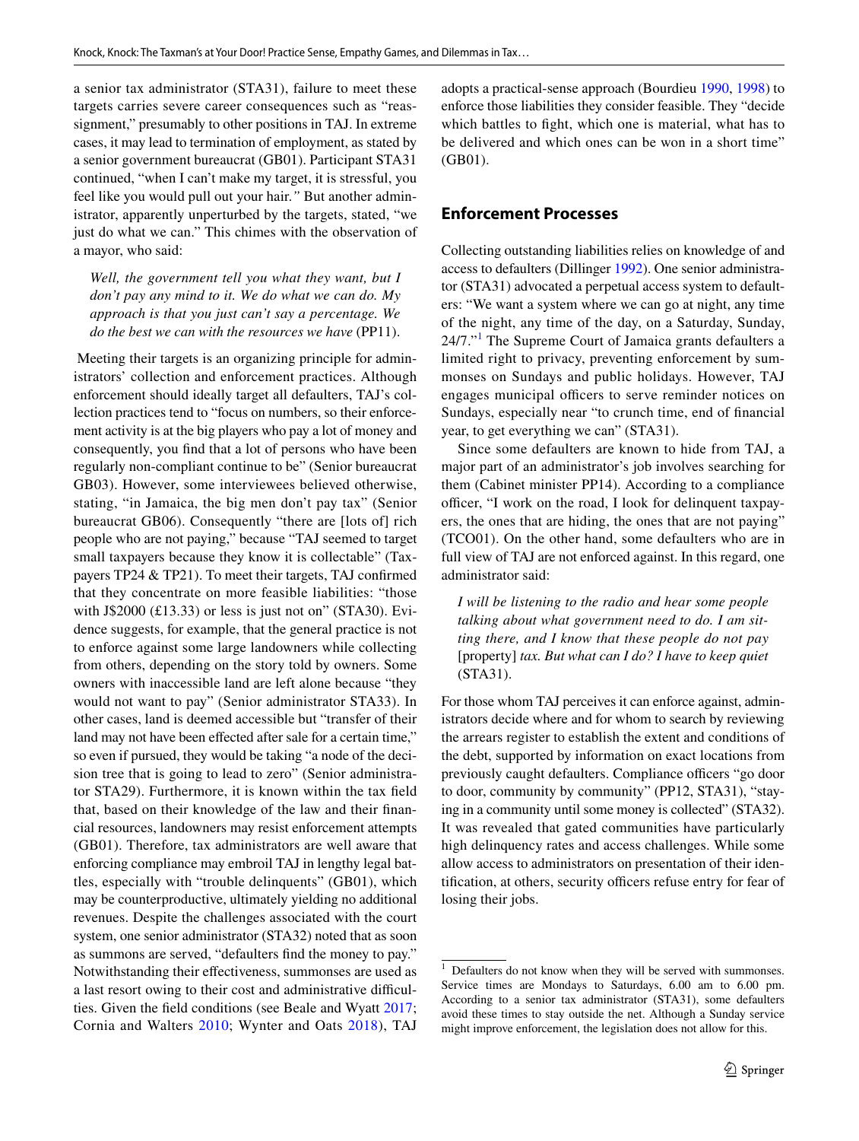a senior tax administrator (STA31), failure to meet these targets carries severe career consequences such as "reassignment," presumably to other positions in TAJ. In extreme cases, it may lead to termination of employment, as stated by a senior government bureaucrat (GB01). Participant STA31 continued, "when I can't make my target, it is stressful, you feel like you would pull out your hair.*"* But another administrator, apparently unperturbed by the targets, stated, "we just do what we can." This chimes with the observation of a mayor, who said:

*Well, the government tell you what they want, but I don't pay any mind to it. We do what we can do. My approach is that you just can't say a percentage. We do the best we can with the resources we have* (PP11).

 Meeting their targets is an organizing principle for administrators' collection and enforcement practices. Although enforcement should ideally target all defaulters, TAJ's collection practices tend to "focus on numbers, so their enforcement activity is at the big players who pay a lot of money and consequently, you fnd that a lot of persons who have been regularly non-compliant continue to be" (Senior bureaucrat GB03). However, some interviewees believed otherwise, stating, "in Jamaica, the big men don't pay tax" (Senior bureaucrat GB06). Consequently "there are [lots of] rich people who are not paying," because "TAJ seemed to target small taxpayers because they know it is collectable" (Taxpayers TP24 & TP21). To meet their targets, TAJ confrmed that they concentrate on more feasible liabilities: "those with J\$2000  $(£13.33)$  or less is just not on" (STA30). Evidence suggests, for example, that the general practice is not to enforce against some large landowners while collecting from others, depending on the story told by owners. Some owners with inaccessible land are left alone because "they would not want to pay" (Senior administrator STA33). In other cases, land is deemed accessible but "transfer of their land may not have been effected after sale for a certain time," so even if pursued, they would be taking "a node of the decision tree that is going to lead to zero" (Senior administrator STA29). Furthermore, it is known within the tax feld that, based on their knowledge of the law and their fnancial resources, landowners may resist enforcement attempts (GB01). Therefore, tax administrators are well aware that enforcing compliance may embroil TAJ in lengthy legal battles, especially with "trouble delinquents" (GB01), which may be counterproductive, ultimately yielding no additional revenues. Despite the challenges associated with the court system, one senior administrator (STA32) noted that as soon as summons are served, "defaulters fnd the money to pay." Notwithstanding their efectiveness, summonses are used as a last resort owing to their cost and administrative difficulties. Given the feld conditions (see Beale and Wyatt [2017](#page-11-23); Cornia and Walters [2010;](#page-12-1) Wynter and Oats [2018](#page-13-0)), TAJ adopts a practical-sense approach (Bourdieu [1990,](#page-11-19) [1998\)](#page-11-18) to enforce those liabilities they consider feasible. They "decide which battles to fght, which one is material, what has to be delivered and which ones can be won in a short time" (GB01).

### **Enforcement Processes**

Collecting outstanding liabilities relies on knowledge of and access to defaulters (Dillinger [1992\)](#page-12-32). One senior administrator (STA31) advocated a perpetual access system to defaulters: "We want a system where we can go at night, any time of the night, any time of the day, on a Saturday, Sunday, 24/7."<sup>[1](#page-4-0)</sup> The Supreme Court of Jamaica grants defaulters a limited right to privacy, preventing enforcement by summonses on Sundays and public holidays. However, TAJ engages municipal officers to serve reminder notices on Sundays, especially near "to crunch time, end of fnancial year, to get everything we can" (STA31).

Since some defaulters are known to hide from TAJ, a major part of an administrator's job involves searching for them (Cabinet minister PP14). According to a compliance officer, "I work on the road, I look for delinquent taxpayers, the ones that are hiding, the ones that are not paying" (TCO01). On the other hand, some defaulters who are in full view of TAJ are not enforced against. In this regard, one administrator said:

*I will be listening to the radio and hear some people talking about what government need to do. I am sitting there, and I know that these people do not pay* [property] *tax. But what can I do? I have to keep quiet* (STA31).

For those whom TAJ perceives it can enforce against, administrators decide where and for whom to search by reviewing the arrears register to establish the extent and conditions of the debt, supported by information on exact locations from previously caught defaulters. Compliance officers "go door" to door, community by community" (PP12, STA31), "staying in a community until some money is collected" (STA32). It was revealed that gated communities have particularly high delinquency rates and access challenges. While some allow access to administrators on presentation of their identification, at others, security officers refuse entry for fear of losing their jobs.

<span id="page-4-0"></span> $1$  Defaulters do not know when they will be served with summonses. Service times are Mondays to Saturdays, 6.00 am to 6.00 pm. According to a senior tax administrator (STA31), some defaulters avoid these times to stay outside the net. Although a Sunday service might improve enforcement, the legislation does not allow for this.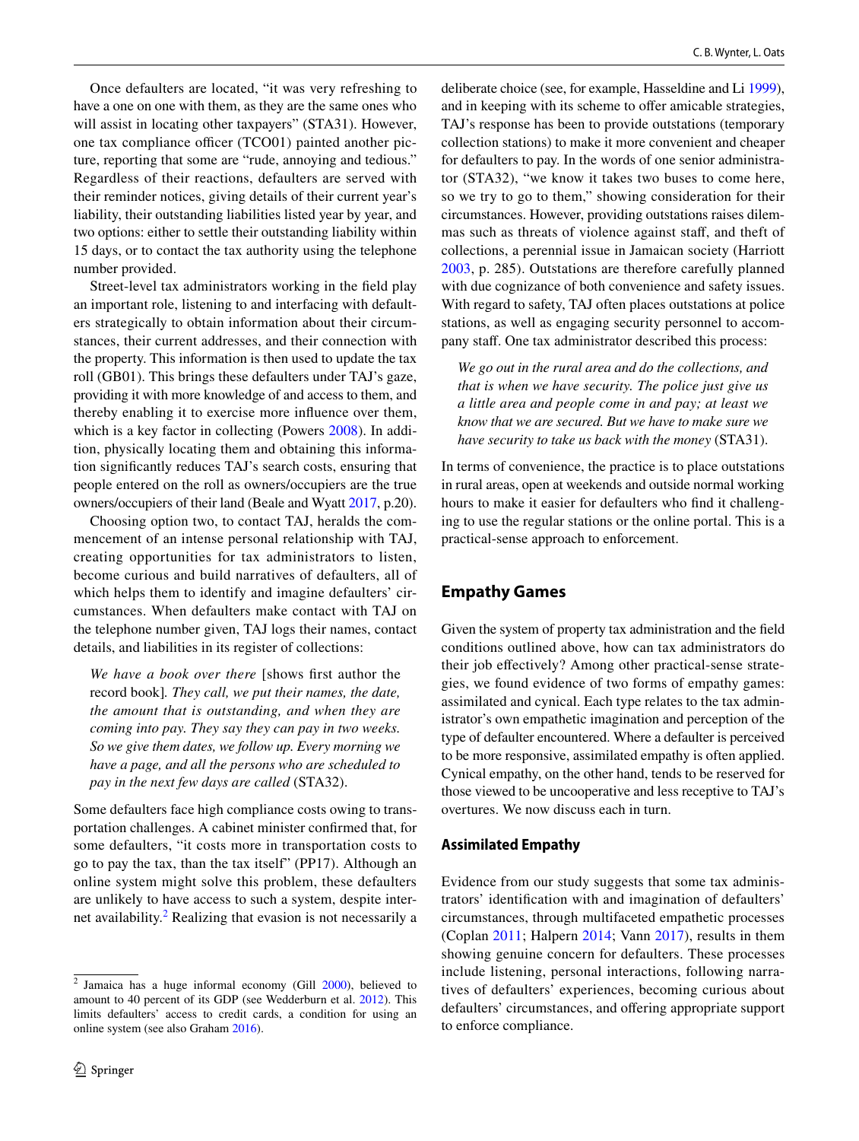Once defaulters are located, "it was very refreshing to have a one on one with them, as they are the same ones who will assist in locating other taxpayers" (STA31). However, one tax compliance officer (TCO01) painted another picture, reporting that some are "rude, annoying and tedious." Regardless of their reactions, defaulters are served with their reminder notices, giving details of their current year's liability, their outstanding liabilities listed year by year, and two options: either to settle their outstanding liability within 15 days, or to contact the tax authority using the telephone number provided.

Street-level tax administrators working in the feld play an important role, listening to and interfacing with defaulters strategically to obtain information about their circumstances, their current addresses, and their connection with the property. This information is then used to update the tax roll (GB01). This brings these defaulters under TAJ's gaze, providing it with more knowledge of and access to them, and thereby enabling it to exercise more infuence over them, which is a key factor in collecting (Powers [2008](#page-13-35)). In addition, physically locating them and obtaining this information signifcantly reduces TAJ's search costs, ensuring that people entered on the roll as owners/occupiers are the true owners/occupiers of their land (Beale and Wyatt [2017,](#page-11-23) p.20).

Choosing option two, to contact TAJ, heralds the commencement of an intense personal relationship with TAJ, creating opportunities for tax administrators to listen, become curious and build narratives of defaulters, all of which helps them to identify and imagine defaulters' circumstances. When defaulters make contact with TAJ on the telephone number given, TAJ logs their names, contact details, and liabilities in its register of collections:

*We have a book over there* [shows frst author the record book]*. They call, we put their names, the date, the amount that is outstanding, and when they are coming into pay. They say they can pay in two weeks. So we give them dates, we follow up. Every morning we have a page, and all the persons who are scheduled to pay in the next few days are called* (STA32).

Some defaulters face high compliance costs owing to transportation challenges. A cabinet minister confrmed that, for some defaulters, "it costs more in transportation costs to go to pay the tax, than the tax itself" (PP17). Although an online system might solve this problem, these defaulters are unlikely to have access to such a system, despite inter-net availability.<sup>[2](#page-5-0)</sup> Realizing that evasion is not necessarily a deliberate choice (see, for example, Hasseldine and Li [1999](#page-12-33)), and in keeping with its scheme to offer amicable strategies, TAJ's response has been to provide outstations (temporary collection stations) to make it more convenient and cheaper for defaulters to pay. In the words of one senior administrator (STA32), "we know it takes two buses to come here, so we try to go to them," showing consideration for their circumstances. However, providing outstations raises dilemmas such as threats of violence against staf, and theft of collections, a perennial issue in Jamaican society (Harriott [2003,](#page-12-34) p. 285). Outstations are therefore carefully planned with due cognizance of both convenience and safety issues. With regard to safety, TAJ often places outstations at police stations, as well as engaging security personnel to accompany staf. One tax administrator described this process:

*We go out in the rural area and do the collections, and that is when we have security. The police just give us a little area and people come in and pay; at least we know that we are secured. But we have to make sure we have security to take us back with the money* (STA31).

In terms of convenience, the practice is to place outstations in rural areas, open at weekends and outside normal working hours to make it easier for defaulters who fnd it challenging to use the regular stations or the online portal. This is a practical-sense approach to enforcement.

# **Empathy Games**

Given the system of property tax administration and the feld conditions outlined above, how can tax administrators do their job efectively? Among other practical-sense strategies, we found evidence of two forms of empathy games: assimilated and cynical. Each type relates to the tax administrator's own empathetic imagination and perception of the type of defaulter encountered. Where a defaulter is perceived to be more responsive, assimilated empathy is often applied. Cynical empathy, on the other hand, tends to be reserved for those viewed to be uncooperative and less receptive to TAJ's overtures. We now discuss each in turn.

#### **Assimilated Empathy**

Evidence from our study suggests that some tax administrators' identifcation with and imagination of defaulters' circumstances, through multifaceted empathetic processes (Coplan [2011](#page-12-22); Halpern [2014](#page-12-24); Vann [2017\)](#page-13-23), results in them showing genuine concern for defaulters. These processes include listening, personal interactions, following narratives of defaulters' experiences, becoming curious about defaulters' circumstances, and offering appropriate support to enforce compliance.

<span id="page-5-0"></span> $\frac{2}{3}$  Jamaica has a huge informal economy (Gill [2000](#page-12-2)), believed to amount to 40 percent of its GDP (see Wedderburn et al. [2012](#page-13-33)). This limits defaulters' access to credit cards, a condition for using an online system (see also Graham [2016](#page-12-35)).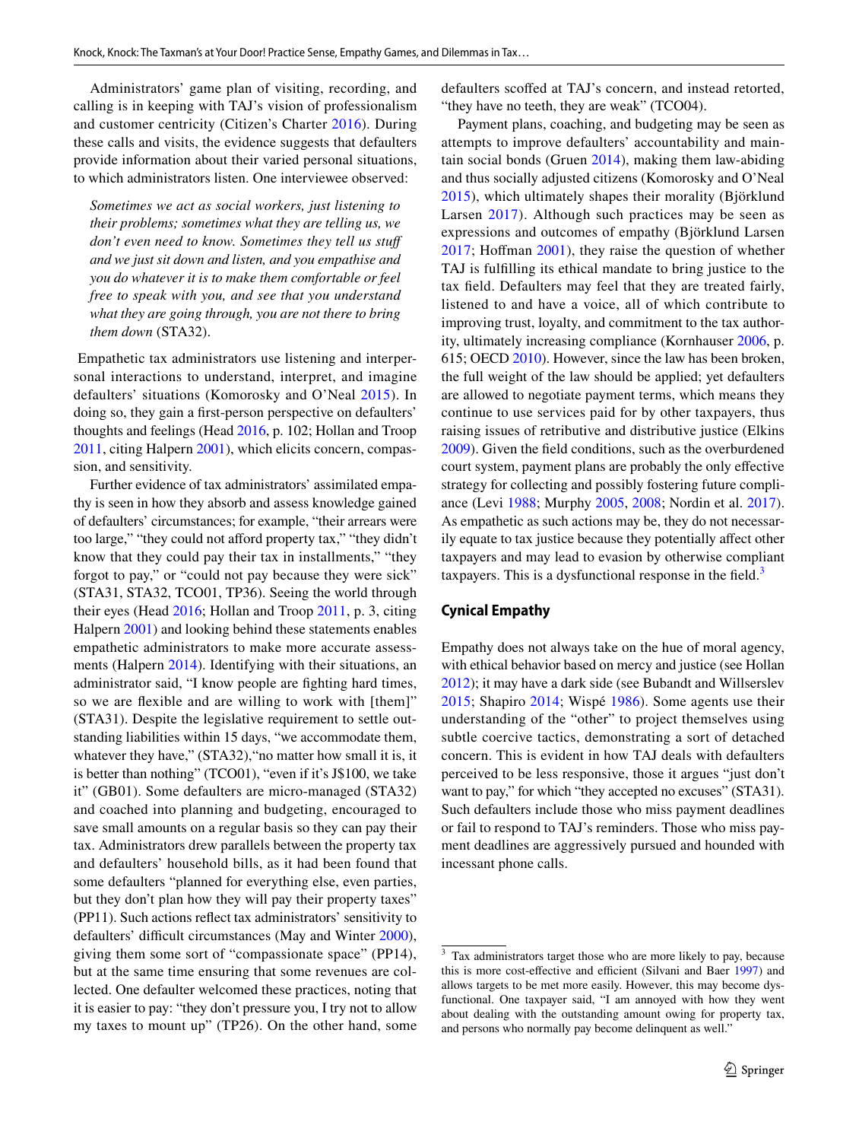Administrators' game plan of visiting, recording, and calling is in keeping with TAJ's vision of professionalism and customer centricity (Citizen's Charter [2016\)](#page-13-25). During these calls and visits, the evidence suggests that defaulters provide information about their varied personal situations, to which administrators listen. One interviewee observed:

*Sometimes we act as social workers, just listening to their problems; sometimes what they are telling us, we*  don't even need to know. Sometimes they tell us stuff *and we just sit down and listen, and you empathise and you do whatever it is to make them comfortable or feel free to speak with you, and see that you understand what they are going through, you are not there to bring them down* (STA32).

 Empathetic tax administrators use listening and interpersonal interactions to understand, interpret, and imagine defaulters' situations (Komorosky and O'Neal [2015](#page-12-16)). In doing so, they gain a frst-person perspective on defaulters' thoughts and feelings (Head [2016](#page-12-9), p. 102; Hollan and Troop [2011](#page-12-12), citing Halpern [2001\)](#page-12-14), which elicits concern, compassion, and sensitivity.

Further evidence of tax administrators' assimilated empathy is seen in how they absorb and assess knowledge gained of defaulters' circumstances; for example, "their arrears were too large," "they could not afford property tax," "they didn't know that they could pay their tax in installments," "they forgot to pay," or "could not pay because they were sick" (STA31, STA32, TCO01, TP36). Seeing the world through their eyes (Head [2016](#page-12-9); Hollan and Troop [2011](#page-12-12), p. 3, citing Halpern [2001](#page-12-14)) and looking behind these statements enables empathetic administrators to make more accurate assessments (Halpern [2014\)](#page-12-24). Identifying with their situations, an administrator said, "I know people are fghting hard times, so we are fexible and are willing to work with [them]" (STA31). Despite the legislative requirement to settle outstanding liabilities within 15 days, "we accommodate them, whatever they have," (STA32), "no matter how small it is, it is better than nothing" (TCO01), "even if it's J\$100, we take it" (GB01). Some defaulters are micro-managed (STA32) and coached into planning and budgeting, encouraged to save small amounts on a regular basis so they can pay their tax. Administrators drew parallels between the property tax and defaulters' household bills, as it had been found that some defaulters "planned for everything else, even parties, but they don't plan how they will pay their property taxes" (PP11). Such actions refect tax administrators' sensitivity to defaulters' difficult circumstances (May and Winter [2000](#page-13-9)), giving them some sort of "compassionate space" (PP14), but at the same time ensuring that some revenues are collected. One defaulter welcomed these practices, noting that it is easier to pay: "they don't pressure you, I try not to allow my taxes to mount up" (TP26). On the other hand, some defaulters scofed at TAJ's concern, and instead retorted, "they have no teeth, they are weak" (TCO04).

Payment plans, coaching, and budgeting may be seen as attempts to improve defaulters' accountability and maintain social bonds (Gruen [2014\)](#page-12-15), making them law-abiding and thus socially adjusted citizens (Komorosky and O'Neal [2015\)](#page-12-16), which ultimately shapes their morality (Björklund Larsen [2017\)](#page-11-3). Although such practices may be seen as expressions and outcomes of empathy (Björklund Larsen [2017;](#page-11-3) Hofman [2001\)](#page-12-18), they raise the question of whether TAJ is fulflling its ethical mandate to bring justice to the tax feld. Defaulters may feel that they are treated fairly, listened to and have a voice, all of which contribute to improving trust, loyalty, and commitment to the tax authority, ultimately increasing compliance (Kornhauser [2006,](#page-12-36) p. 615; OECD [2010\)](#page-13-36). However, since the law has been broken, the full weight of the law should be applied; yet defaulters are allowed to negotiate payment terms, which means they continue to use services paid for by other taxpayers, thus raising issues of retributive and distributive justice (Elkins [2009](#page-12-37)). Given the feld conditions, such as the overburdened court system, payment plans are probably the only efective strategy for collecting and possibly fostering future compliance (Levi [1988](#page-12-38); Murphy [2005](#page-13-13), [2008;](#page-13-14) Nordin et al. [2017](#page-13-12)). As empathetic as such actions may be, they do not necessarily equate to tax justice because they potentially afect other taxpayers and may lead to evasion by otherwise compliant taxpayers. This is a dysfunctional response in the field. $3$ 

#### **Cynical Empathy**

Empathy does not always take on the hue of moral agency, with ethical behavior based on mercy and justice (see Hollan [2012](#page-12-20)); it may have a dark side (see Bubandt and Willserslev [2015;](#page-12-10) Shapiro [2014](#page-13-22); Wispé [1986\)](#page-13-32). Some agents use their understanding of the "other" to project themselves using subtle coercive tactics, demonstrating a sort of detached concern. This is evident in how TAJ deals with defaulters perceived to be less responsive, those it argues "just don't want to pay," for which "they accepted no excuses" (STA31). Such defaulters include those who miss payment deadlines or fail to respond to TAJ's reminders. Those who miss payment deadlines are aggressively pursued and hounded with incessant phone calls.

<span id="page-6-0"></span><sup>&</sup>lt;sup>3</sup> Tax administrators target those who are more likely to pay, because this is more cost-effective and efficient (Silvani and Baer [1997](#page-13-16)) and allows targets to be met more easily. However, this may become dysfunctional. One taxpayer said, "I am annoyed with how they went about dealing with the outstanding amount owing for property tax, and persons who normally pay become delinquent as well."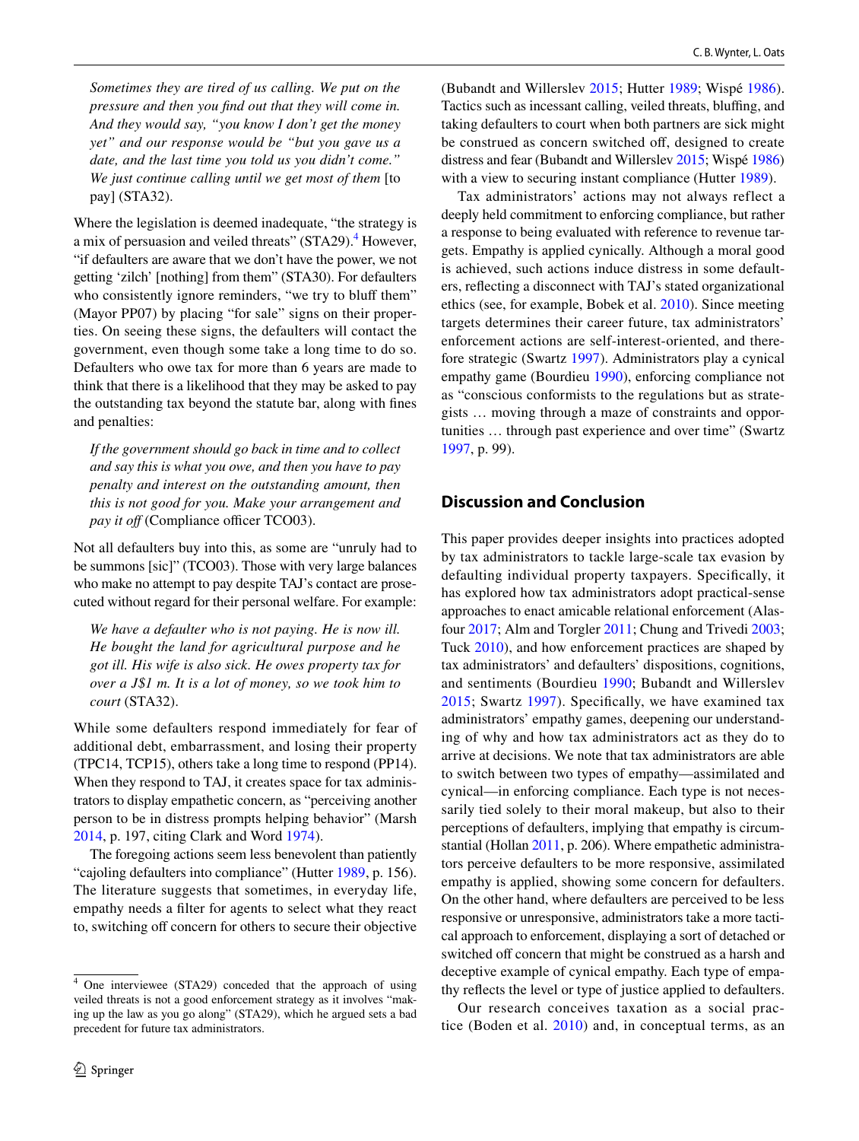*Sometimes they are tired of us calling. We put on the pressure and then you fnd out that they will come in. And they would say, "you know I don't get the money yet" and our response would be "but you gave us a date, and the last time you told us you didn't come." We just continue calling until we get most of them* [to pay] (STA32).

Where the legislation is deemed inadequate, "the strategy is a mix of persuasion and veiled threats" (STA29).<sup>4</sup> However, "if defaulters are aware that we don't have the power, we not getting 'zilch' [nothing] from them" (STA30). For defaulters who consistently ignore reminders, "we try to bluff them" (Mayor PP07) by placing "for sale" signs on their properties. On seeing these signs, the defaulters will contact the government, even though some take a long time to do so. Defaulters who owe tax for more than 6 years are made to think that there is a likelihood that they may be asked to pay the outstanding tax beyond the statute bar, along with fnes and penalties:

*If the government should go back in time and to collect and say this is what you owe, and then you have to pay penalty and interest on the outstanding amount, then this is not good for you. Make your arrangement and pay it off* (Compliance officer TCO03).

Not all defaulters buy into this, as some are "unruly had to be summons [sic]" (TCO03). Those with very large balances who make no attempt to pay despite TAJ's contact are prosecuted without regard for their personal welfare. For example:

*We have a defaulter who is not paying. He is now ill. He bought the land for agricultural purpose and he got ill. His wife is also sick. He owes property tax for over a J\$1 m. It is a lot of money, so we took him to court* (STA32).

While some defaulters respond immediately for fear of additional debt, embarrassment, and losing their property (TPC14, TCP15), others take a long time to respond (PP14). When they respond to TAJ, it creates space for tax administrators to display empathetic concern, as "perceiving another person to be in distress prompts helping behavior" (Marsh [2014](#page-13-37), p. 197, citing Clark and Word [1974\)](#page-12-39).

The foregoing actions seem less benevolent than patiently "cajoling defaulters into compliance" (Hutter [1989,](#page-12-4) p. 156). The literature suggests that sometimes, in everyday life, empathy needs a flter for agents to select what they react to, switching off concern for others to secure their objective (Bubandt and Willerslev [2015](#page-12-10); Hutter [1989;](#page-12-4) Wispé [1986](#page-13-32)). Tactics such as incessant calling, veiled threats, bluffing, and taking defaulters to court when both partners are sick might be construed as concern switched off, designed to create distress and fear (Bubandt and Willerslev [2015;](#page-12-10) Wispé [1986\)](#page-13-32) with a view to securing instant compliance (Hutter [1989\)](#page-12-4).

Tax administrators' actions may not always reflect a deeply held commitment to enforcing compliance, but rather a response to being evaluated with reference to revenue targets. Empathy is applied cynically. Although a moral good is achieved, such actions induce distress in some defaulters, refecting a disconnect with TAJ's stated organizational ethics (see, for example, Bobek et al. [2010](#page-11-24)). Since meeting targets determines their career future, tax administrators' enforcement actions are self-interest-oriented, and therefore strategic (Swartz [1997](#page-13-38)). Administrators play a cynical empathy game (Bourdieu [1990](#page-11-19)), enforcing compliance not as "conscious conformists to the regulations but as strategists … moving through a maze of constraints and opportunities … through past experience and over time" (Swartz [1997](#page-13-38), p. 99).

# **Discussion and Conclusion**

This paper provides deeper insights into practices adopted by tax administrators to tackle large-scale tax evasion by defaulting individual property taxpayers. Specifcally, it has explored how tax administrators adopt practical-sense approaches to enact amicable relational enforcement (Alasfour [2017;](#page-11-9) Alm and Torgler [2011;](#page-11-8) Chung and Trivedi [2003](#page-12-5); Tuck [2010\)](#page-13-15), and how enforcement practices are shaped by tax administrators' and defaulters' dispositions, cognitions, and sentiments (Bourdieu [1990](#page-11-19); Bubandt and Willerslev [2015;](#page-12-10) Swartz [1997](#page-13-38)). Specifcally, we have examined tax administrators' empathy games, deepening our understanding of why and how tax administrators act as they do to arrive at decisions. We note that tax administrators are able to switch between two types of empathy—assimilated and cynical—in enforcing compliance. Each type is not necessarily tied solely to their moral makeup, but also to their perceptions of defaulters, implying that empathy is circumstantial (Hollan [2011,](#page-12-12) p. 206). Where empathetic administrators perceive defaulters to be more responsive, assimilated empathy is applied, showing some concern for defaulters. On the other hand, where defaulters are perceived to be less responsive or unresponsive, administrators take a more tactical approach to enforcement, displaying a sort of detached or switched off concern that might be construed as a harsh and deceptive example of cynical empathy. Each type of empathy refects the level or type of justice applied to defaulters.

Our research conceives taxation as a social practice (Boden et al. [2010](#page-11-25)) and, in conceptual terms, as an

<span id="page-7-0"></span><sup>4</sup> One interviewee (STA29) conceded that the approach of using veiled threats is not a good enforcement strategy as it involves "making up the law as you go along" (STA29), which he argued sets a bad precedent for future tax administrators.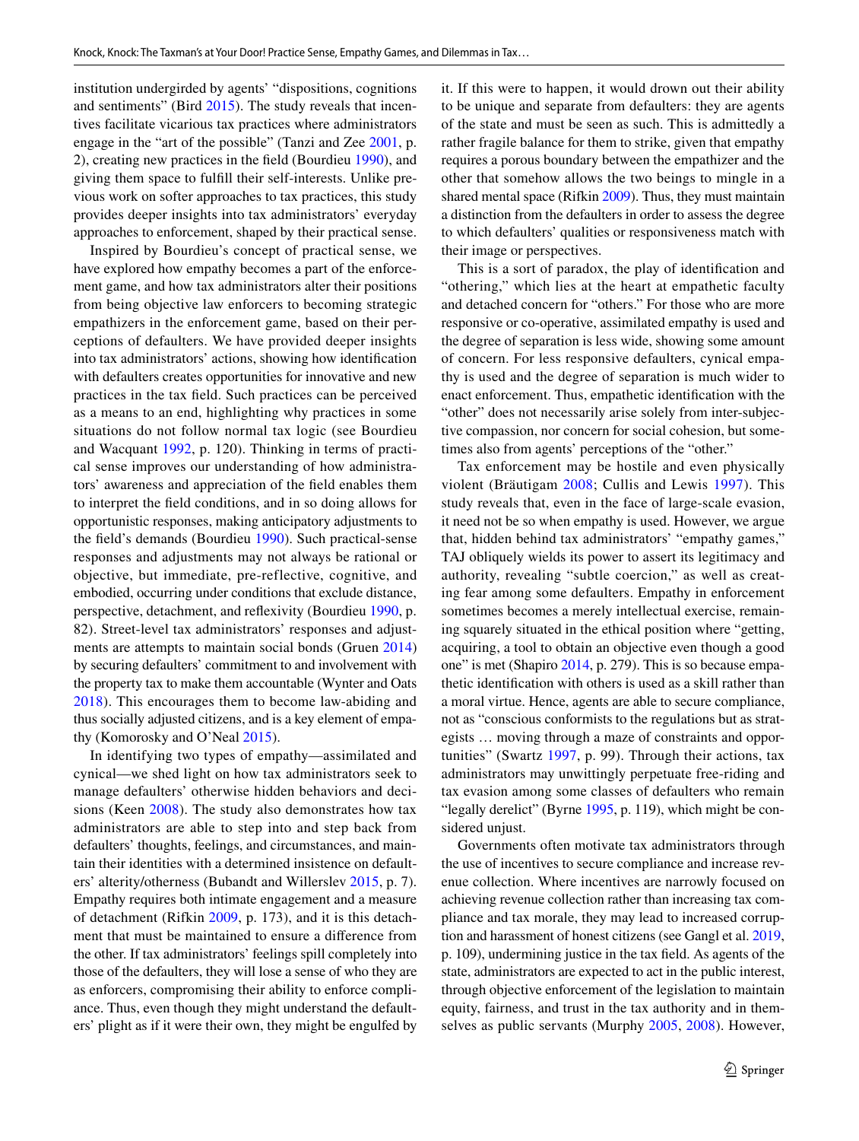institution undergirded by agents' "dispositions, cognitions and sentiments" (Bird [2015](#page-11-16)). The study reveals that incentives facilitate vicarious tax practices where administrators engage in the "art of the possible" (Tanzi and Zee [2001](#page-13-2), p. 2), creating new practices in the feld (Bourdieu [1990](#page-11-19)), and giving them space to fulfll their self-interests. Unlike previous work on softer approaches to tax practices, this study provides deeper insights into tax administrators' everyday approaches to enforcement, shaped by their practical sense.

Inspired by Bourdieu's concept of practical sense, we have explored how empathy becomes a part of the enforcement game, and how tax administrators alter their positions from being objective law enforcers to becoming strategic empathizers in the enforcement game, based on their perceptions of defaulters. We have provided deeper insights into tax administrators' actions, showing how identifcation with defaulters creates opportunities for innovative and new practices in the tax feld. Such practices can be perceived as a means to an end, highlighting why practices in some situations do not follow normal tax logic (see Bourdieu and Wacquant [1992,](#page-11-20) p. 120). Thinking in terms of practical sense improves our understanding of how administrators' awareness and appreciation of the feld enables them to interpret the feld conditions, and in so doing allows for opportunistic responses, making anticipatory adjustments to the feld's demands (Bourdieu [1990](#page-11-19)). Such practical-sense responses and adjustments may not always be rational or objective, but immediate, pre-reflective, cognitive, and embodied, occurring under conditions that exclude distance, perspective, detachment, and refexivity (Bourdieu [1990,](#page-11-19) p. 82). Street-level tax administrators' responses and adjustments are attempts to maintain social bonds (Gruen [2014\)](#page-12-15) by securing defaulters' commitment to and involvement with the property tax to make them accountable (Wynter and Oats [2018\)](#page-13-0). This encourages them to become law-abiding and thus socially adjusted citizens, and is a key element of empathy (Komorosky and O'Neal [2015\)](#page-12-16).

In identifying two types of empathy—assimilated and cynical—we shed light on how tax administrators seek to manage defaulters' otherwise hidden behaviors and decisions (Keen [2008](#page-12-40)). The study also demonstrates how tax administrators are able to step into and step back from defaulters' thoughts, feelings, and circumstances, and maintain their identities with a determined insistence on defaulters' alterity/otherness (Bubandt and Willerslev [2015,](#page-12-10) p. 7). Empathy requires both intimate engagement and a measure of detachment (Rifkin [2009](#page-13-21), p. 173), and it is this detachment that must be maintained to ensure a diference from the other. If tax administrators' feelings spill completely into those of the defaulters, they will lose a sense of who they are as enforcers, compromising their ability to enforce compliance. Thus, even though they might understand the defaulters' plight as if it were their own, they might be engulfed by it. If this were to happen, it would drown out their ability to be unique and separate from defaulters: they are agents of the state and must be seen as such. This is admittedly a rather fragile balance for them to strike, given that empathy requires a porous boundary between the empathizer and the other that somehow allows the two beings to mingle in a shared mental space (Rifkin [2009](#page-13-21)). Thus, they must maintain a distinction from the defaulters in order to assess the degree to which defaulters' qualities or responsiveness match with their image or perspectives.

This is a sort of paradox, the play of identifcation and "othering," which lies at the heart at empathetic faculty and detached concern for "others." For those who are more responsive or co-operative, assimilated empathy is used and the degree of separation is less wide, showing some amount of concern. For less responsive defaulters, cynical empathy is used and the degree of separation is much wider to enact enforcement. Thus, empathetic identifcation with the "other" does not necessarily arise solely from inter-subjective compassion, nor concern for social cohesion, but sometimes also from agents' perceptions of the "other."

Tax enforcement may be hostile and even physically violent (Bräutigam [2008;](#page-12-0) Cullis and Lewis [1997\)](#page-12-6). This study reveals that, even in the face of large-scale evasion, it need not be so when empathy is used. However, we argue that, hidden behind tax administrators' "empathy games," TAJ obliquely wields its power to assert its legitimacy and authority, revealing "subtle coercion," as well as creating fear among some defaulters. Empathy in enforcement sometimes becomes a merely intellectual exercise, remaining squarely situated in the ethical position where "getting, acquiring, a tool to obtain an objective even though a good one" is met (Shapiro [2014,](#page-13-22) p. 279). This is so because empathetic identifcation with others is used as a skill rather than a moral virtue. Hence, agents are able to secure compliance, not as "conscious conformists to the regulations but as strategists … moving through a maze of constraints and opportunities" (Swartz [1997](#page-13-38), p. 99). Through their actions, tax administrators may unwittingly perpetuate free-riding and tax evasion among some classes of defaulters who remain "legally derelict" (Byrne [1995,](#page-12-41) p. 119), which might be considered unjust.

Governments often motivate tax administrators through the use of incentives to secure compliance and increase revenue collection. Where incentives are narrowly focused on achieving revenue collection rather than increasing tax compliance and tax morale, they may lead to increased corruption and harassment of honest citizens (see Gangl et al. [2019,](#page-12-42) p. 109), undermining justice in the tax feld. As agents of the state, administrators are expected to act in the public interest, through objective enforcement of the legislation to maintain equity, fairness, and trust in the tax authority and in themselves as public servants (Murphy [2005](#page-13-13), [2008](#page-13-14)). However,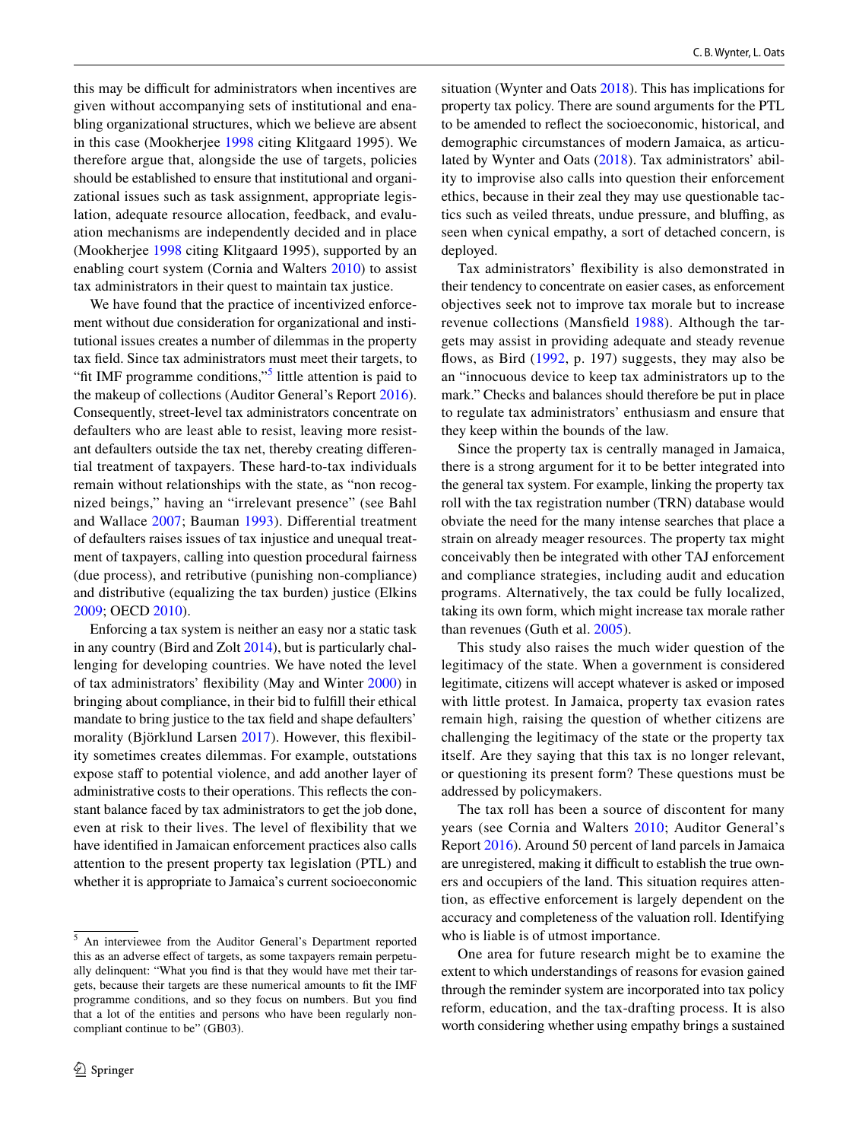this may be difficult for administrators when incentives are given without accompanying sets of institutional and enabling organizational structures, which we believe are absent in this case (Mookherjee [1998](#page-13-39) citing Klitgaard 1995). We therefore argue that, alongside the use of targets, policies should be established to ensure that institutional and organizational issues such as task assignment, appropriate legislation, adequate resource allocation, feedback, and evaluation mechanisms are independently decided and in place (Mookherjee [1998](#page-13-39) citing Klitgaard 1995), supported by an enabling court system (Cornia and Walters [2010](#page-12-1)) to assist tax administrators in their quest to maintain tax justice.

We have found that the practice of incentivized enforcement without due consideration for organizational and institutional issues creates a number of dilemmas in the property tax feld. Since tax administrators must meet their targets, to "fit IMF programme conditions,"<sup>[5](#page-9-0)</sup> little attention is paid to the makeup of collections (Auditor General's Report [2016](#page-12-25)). Consequently, street-level tax administrators concentrate on defaulters who are least able to resist, leaving more resistant defaulters outside the tax net, thereby creating diferential treatment of taxpayers. These hard-to-tax individuals remain without relationships with the state, as "non recognized beings," having an "irrelevant presence" (see Bahl and Wallace [2007](#page-11-7); Bauman [1993](#page-11-26)). Diferential treatment of defaulters raises issues of tax injustice and unequal treatment of taxpayers, calling into question procedural fairness (due process), and retributive (punishing non-compliance) and distributive (equalizing the tax burden) justice (Elkins [2009](#page-12-37); OECD [2010\)](#page-13-36).

Enforcing a tax system is neither an easy nor a static task in any country (Bird and Zolt [2014](#page-11-0)), but is particularly challenging for developing countries. We have noted the level of tax administrators' fexibility (May and Winter [2000](#page-13-9)) in bringing about compliance, in their bid to fulfll their ethical mandate to bring justice to the tax feld and shape defaulters' morality (Björklund Larsen [2017\)](#page-11-3). However, this fexibility sometimes creates dilemmas. For example, outstations expose staff to potential violence, and add another layer of administrative costs to their operations. This refects the constant balance faced by tax administrators to get the job done, even at risk to their lives. The level of fexibility that we have identifed in Jamaican enforcement practices also calls attention to the present property tax legislation (PTL) and whether it is appropriate to Jamaica's current socioeconomic

<span id="page-9-0"></span><sup>5</sup> An interviewee from the Auditor General's Department reported this as an adverse efect of targets, as some taxpayers remain perpetually delinquent: "What you fnd is that they would have met their targets, because their targets are these numerical amounts to ft the IMF programme conditions, and so they focus on numbers. But you fnd that a lot of the entities and persons who have been regularly noncompliant continue to be" (GB03).

situation (Wynter and Oats [2018](#page-13-0)). This has implications for property tax policy. There are sound arguments for the PTL to be amended to refect the socioeconomic, historical, and demographic circumstances of modern Jamaica, as articulated by Wynter and Oats [\(2018\)](#page-13-0). Tax administrators' ability to improvise also calls into question their enforcement ethics, because in their zeal they may use questionable tactics such as veiled threats, undue pressure, and bluffing, as seen when cynical empathy, a sort of detached concern, is deployed.

Tax administrators' fexibility is also demonstrated in their tendency to concentrate on easier cases, as enforcement objectives seek not to improve tax morale but to increase revenue collections (Mansfeld [1988\)](#page-13-3). Although the targets may assist in providing adequate and steady revenue flows, as Bird [\(1992](#page-11-27), p. 197) suggests, they may also be an "innocuous device to keep tax administrators up to the mark." Checks and balances should therefore be put in place to regulate tax administrators' enthusiasm and ensure that they keep within the bounds of the law.

Since the property tax is centrally managed in Jamaica, there is a strong argument for it to be better integrated into the general tax system. For example, linking the property tax roll with the tax registration number (TRN) database would obviate the need for the many intense searches that place a strain on already meager resources. The property tax might conceivably then be integrated with other TAJ enforcement and compliance strategies, including audit and education programs. Alternatively, the tax could be fully localized, taking its own form, which might increase tax morale rather than revenues (Guth et al. [2005](#page-12-43)).

This study also raises the much wider question of the legitimacy of the state. When a government is considered legitimate, citizens will accept whatever is asked or imposed with little protest. In Jamaica, property tax evasion rates remain high, raising the question of whether citizens are challenging the legitimacy of the state or the property tax itself. Are they saying that this tax is no longer relevant, or questioning its present form? These questions must be addressed by policymakers.

The tax roll has been a source of discontent for many years (see Cornia and Walters [2010;](#page-12-1) Auditor General's Report [2016\)](#page-12-25). Around 50 percent of land parcels in Jamaica are unregistered, making it difficult to establish the true owners and occupiers of the land. This situation requires attention, as efective enforcement is largely dependent on the accuracy and completeness of the valuation roll. Identifying who is liable is of utmost importance.

One area for future research might be to examine the extent to which understandings of reasons for evasion gained through the reminder system are incorporated into tax policy reform, education, and the tax-drafting process. It is also worth considering whether using empathy brings a sustained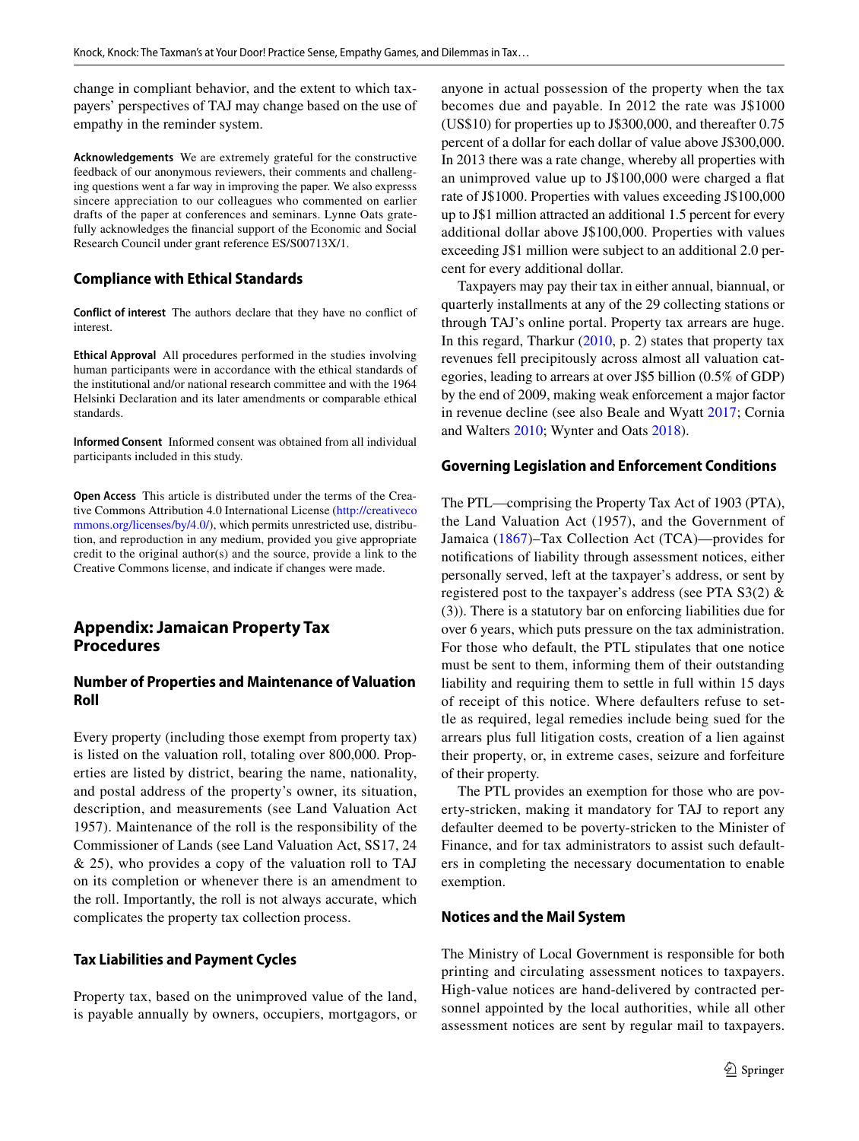change in compliant behavior, and the extent to which taxpayers' perspectives of TAJ may change based on the use of empathy in the reminder system.

**Acknowledgements** We are extremely grateful for the constructive feedback of our anonymous reviewers, their comments and challenging questions went a far way in improving the paper. We also expresss sincere appreciation to our colleagues who commented on earlier drafts of the paper at conferences and seminars. Lynne Oats gratefully acknowledges the fnancial support of the Economic and Social Research Council under grant reference ES/S00713X/1.

# **Compliance with Ethical Standards**

**Conflict of interest** The authors declare that they have no confict of interest.

**Ethical Approval** All procedures performed in the studies involving human participants were in accordance with the ethical standards of the institutional and/or national research committee and with the 1964 Helsinki Declaration and its later amendments or comparable ethical standards.

**Informed Consent** Informed consent was obtained from all individual participants included in this study.

**Open Access** This article is distributed under the terms of the Creative Commons Attribution 4.0 International License [\(http://creativeco](http://creativecommons.org/licenses/by/4.0/) [mmons.org/licenses/by/4.0/](http://creativecommons.org/licenses/by/4.0/)), which permits unrestricted use, distribution, and reproduction in any medium, provided you give appropriate credit to the original author(s) and the source, provide a link to the Creative Commons license, and indicate if changes were made.

# **Appendix: Jamaican Property Tax Procedures**

# **Number of Properties and Maintenance of Valuation Roll**

Every property (including those exempt from property tax) is listed on the valuation roll, totaling over 800,000. Properties are listed by district, bearing the name, nationality, and postal address of the property's owner, its situation, description, and measurements (see Land Valuation Act 1957). Maintenance of the roll is the responsibility of the Commissioner of Lands (see Land Valuation Act, SS17, 24 & 25), who provides a copy of the valuation roll to TAJ on its completion or whenever there is an amendment to the roll. Importantly, the roll is not always accurate, which complicates the property tax collection process.

### **Tax Liabilities and Payment Cycles**

Property tax, based on the unimproved value of the land, is payable annually by owners, occupiers, mortgagors, or

anyone in actual possession of the property when the tax becomes due and payable. In 2012 the rate was J\$1000 (US\$10) for properties up to J\$300,000, and thereafter 0.75 percent of a dollar for each dollar of value above J\$300,000. In 2013 there was a rate change, whereby all properties with an unimproved value up to J\$100,000 were charged a fat rate of J\$1000. Properties with values exceeding J\$100,000 up to J\$1 million attracted an additional 1.5 percent for every additional dollar above J\$100,000. Properties with values exceeding J\$1 million were subject to an additional 2.0 percent for every additional dollar.

Taxpayers may pay their tax in either annual, biannual, or quarterly installments at any of the 29 collecting stations or through TAJ's online portal. Property tax arrears are huge. In this regard, Tharkur  $(2010, p. 2)$  $(2010, p. 2)$  states that property tax revenues fell precipitously across almost all valuation categories, leading to arrears at over J\$5 billion (0.5% of GDP) by the end of 2009, making weak enforcement a major factor in revenue decline (see also Beale and Wyatt [2017](#page-11-23); Cornia and Walters [2010;](#page-12-1) Wynter and Oats [2018](#page-13-0)).

#### **Governing Legislation and Enforcement Conditions**

The PTL—comprising the Property Tax Act of 1903 (PTA), the Land Valuation Act (1957), and the Government of Jamaica ([1867](#page-12-44))–Tax Collection Act (TCA)—provides for notifcations of liability through assessment notices, either personally served, left at the taxpayer's address, or sent by registered post to the taxpayer's address (see PTA S3(2) & (3)). There is a statutory bar on enforcing liabilities due for over 6 years, which puts pressure on the tax administration. For those who default, the PTL stipulates that one notice must be sent to them, informing them of their outstanding liability and requiring them to settle in full within 15 days of receipt of this notice. Where defaulters refuse to settle as required, legal remedies include being sued for the arrears plus full litigation costs, creation of a lien against their property, or, in extreme cases, seizure and forfeiture of their property.

The PTL provides an exemption for those who are poverty-stricken, making it mandatory for TAJ to report any defaulter deemed to be poverty-stricken to the Minister of Finance, and for tax administrators to assist such defaulters in completing the necessary documentation to enable exemption.

#### **Notices and the Mail System**

The Ministry of Local Government is responsible for both printing and circulating assessment notices to taxpayers. High-value notices are hand-delivered by contracted personnel appointed by the local authorities, while all other assessment notices are sent by regular mail to taxpayers.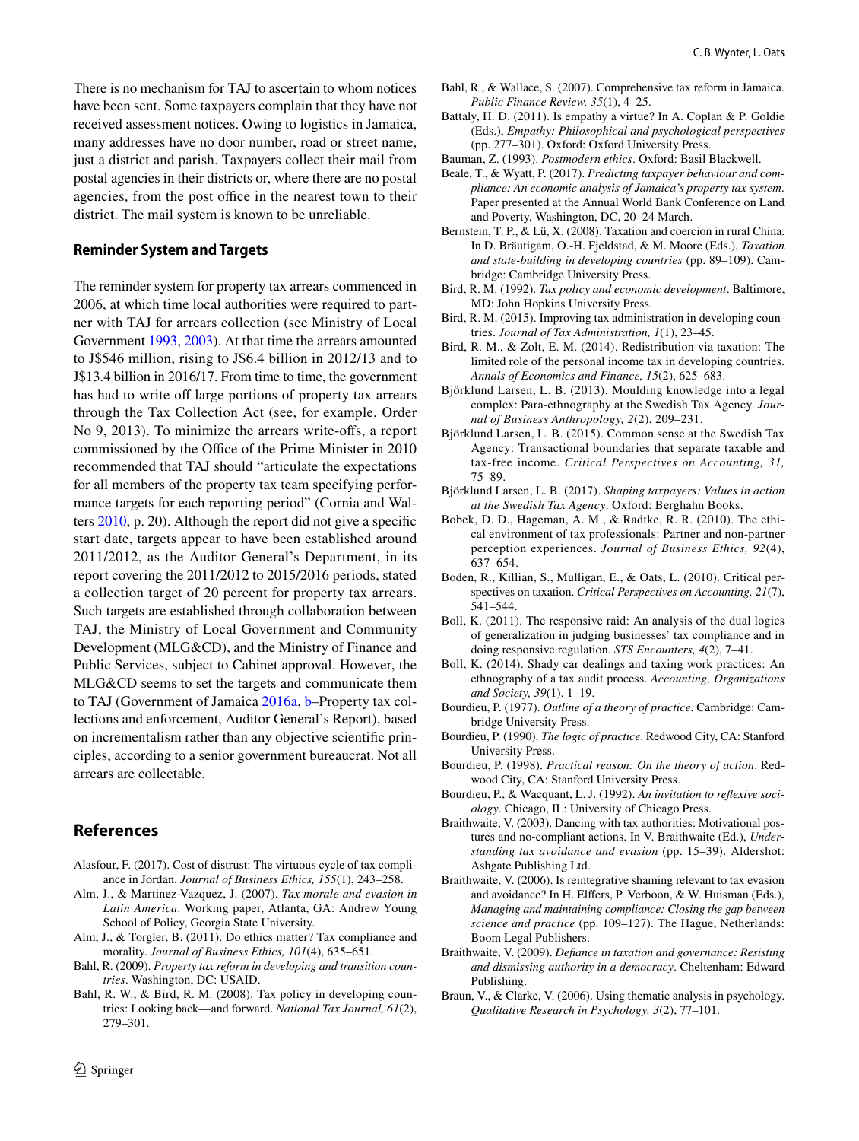There is no mechanism for TAJ to ascertain to whom notices have been sent. Some taxpayers complain that they have not received assessment notices. Owing to logistics in Jamaica, many addresses have no door number, road or street name, just a district and parish. Taxpayers collect their mail from postal agencies in their districts or, where there are no postal agencies, from the post office in the nearest town to their district. The mail system is known to be unreliable.

#### **Reminder System and Targets**

The reminder system for property tax arrears commenced in 2006, at which time local authorities were required to partner with TAJ for arrears collection (see Ministry of Local Government [1993](#page-13-41), [2003\)](#page-13-42). At that time the arrears amounted to J\$546 million, rising to J\$6.4 billion in 2012/13 and to J\$13.4 billion in 2016/17. From time to time, the government has had to write off large portions of property tax arrears through the Tax Collection Act (see, for example, Order No 9, 2013). To minimize the arrears write-ofs, a report commissioned by the Office of the Prime Minister in 2010 recommended that TAJ should "articulate the expectations for all members of the property tax team specifying performance targets for each reporting period" (Cornia and Walters [2010,](#page-12-1) p. 20). Although the report did not give a specifc start date, targets appear to have been established around 2011/2012, as the Auditor General's Department, in its report covering the 2011/2012 to 2015/2016 periods, stated a collection target of 20 percent for property tax arrears. Such targets are established through collaboration between TAJ, the Ministry of Local Government and Community Development (MLG&CD), and the Ministry of Finance and Public Services, subject to Cabinet approval. However, the MLG&CD seems to set the targets and communicate them to TAJ (Government of Jamaica [2016a](#page-12-25), [b](#page-12-45)–Property tax collections and enforcement, Auditor General's Report), based on incrementalism rather than any objective scientifc principles, according to a senior government bureaucrat. Not all arrears are collectable.

# **References**

- <span id="page-11-9"></span>Alasfour, F. (2017). Cost of distrust: The virtuous cycle of tax compliance in Jordan. *Journal of Business Ethics, 155*(1), 243–258.
- <span id="page-11-6"></span>Alm, J., & Martinez-Vazquez, J. (2007). *Tax morale and evasion in Latin America*. Working paper, Atlanta, GA: Andrew Young School of Policy, Georgia State University.
- <span id="page-11-8"></span>Alm, J., & Torgler, B. (2011). Do ethics matter? Tax compliance and morality. *Journal of Business Ethics, 101*(4), 635–651.
- <span id="page-11-11"></span>Bahl, R. (2009). *Property tax reform in developing and transition countries*. Washington, DC: USAID.
- <span id="page-11-12"></span>Bahl, R. W., & Bird, R. M. (2008). Tax policy in developing countries: Looking back—and forward. *National Tax Journal, 61*(2), 279–301.
- <span id="page-11-7"></span>Bahl, R., & Wallace, S. (2007). Comprehensive tax reform in Jamaica. *Public Finance Review, 35*(1), 4–25.
- <span id="page-11-21"></span>Battaly, H. D. (2011). Is empathy a virtue? In A. Coplan & P. Goldie (Eds.), *Empathy: Philosophical and psychological perspectives* (pp. 277–301). Oxford: Oxford University Press.
- <span id="page-11-26"></span>Bauman, Z. (1993). *Postmodern ethics*. Oxford: Basil Blackwell.
- <span id="page-11-23"></span>Beale, T., & Wyatt, P. (2017). *Predicting taxpayer behaviour and compliance: An economic analysis of Jamaica's property tax system*. Paper presented at the Annual World Bank Conference on Land and Poverty, Washington, DC, 20–24 March.
- <span id="page-11-10"></span>Bernstein, T. P., & Lü, X. (2008). Taxation and coercion in rural China. In D. Bräutigam, O.-H. Fjeldstad, & M. Moore (Eds.), *Taxation and state-building in developing countries* (pp. 89–109). Cambridge: Cambridge University Press.
- <span id="page-11-27"></span>Bird, R. M. (1992). *Tax policy and economic development*. Baltimore, MD: John Hopkins University Press.
- <span id="page-11-16"></span>Bird, R. M. (2015). Improving tax administration in developing countries. *Journal of Tax Administration, 1*(1), 23–45.
- <span id="page-11-0"></span>Bird, R. M., & Zolt, E. M. (2014). Redistribution via taxation: The limited role of the personal income tax in developing countries. *Annals of Economics and Finance, 15*(2), 625–683.
- <span id="page-11-1"></span>Björklund Larsen, L. B. (2013). Moulding knowledge into a legal complex: Para-ethnography at the Swedish Tax Agency. *Journal of Business Anthropology, 2*(2), 209–231.
- <span id="page-11-2"></span>Björklund Larsen, L. B. (2015). Common sense at the Swedish Tax Agency: Transactional boundaries that separate taxable and tax-free income. *Critical Perspectives on Accounting, 31,* 75–89.
- <span id="page-11-3"></span>Björklund Larsen, L. B. (2017). *Shaping taxpayers: Values in action at the Swedish Tax Agency*. Oxford: Berghahn Books.
- <span id="page-11-24"></span>Bobek, D. D., Hageman, A. M., & Radtke, R. R. (2010). The ethical environment of tax professionals: Partner and non-partner perception experiences. *Journal of Business Ethics, 92*(4), 637–654.
- <span id="page-11-25"></span>Boden, R., Killian, S., Mulligan, E., & Oats, L. (2010). Critical perspectives on taxation. *Critical Perspectives on Accounting, 21*(7), 541–544.
- <span id="page-11-4"></span>Boll, K. (2011). The responsive raid: An analysis of the dual logics of generalization in judging businesses' tax compliance and in doing responsive regulation. *STS Encounters, 4*(2), 7–41.
- <span id="page-11-5"></span>Boll, K. (2014). Shady car dealings and taxing work practices: An ethnography of a tax audit process. *Accounting, Organizations and Society, 39*(1), 1–19.
- <span id="page-11-17"></span>Bourdieu, P. (1977). *Outline of a theory of practice*. Cambridge: Cambridge University Press.
- <span id="page-11-19"></span>Bourdieu, P. (1990). *The logic of practice*. Redwood City, CA: Stanford University Press.
- <span id="page-11-18"></span>Bourdieu, P. (1998). *Practical reason: On the theory of action*. Redwood City, CA: Stanford University Press.
- <span id="page-11-20"></span>Bourdieu, P., & Wacquant, L. J. (1992). *An invitation to refexive sociology*. Chicago, IL: University of Chicago Press.
- <span id="page-11-13"></span>Braithwaite, V. (2003). Dancing with tax authorities: Motivational postures and no-compliant actions. In V. Braithwaite (Ed.), *Understanding tax avoidance and evasion* (pp. 15–39). Aldershot: Ashgate Publishing Ltd.
- <span id="page-11-14"></span>Braithwaite, V. (2006). Is reintegrative shaming relevant to tax evasion and avoidance? In H. Elfers, P. Verboon, & W. Huisman (Eds.), *Managing and maintaining compliance: Closing the gap between science and practice* (pp. 109–127). The Hague, Netherlands: Boom Legal Publishers.
- <span id="page-11-15"></span>Braithwaite, V. (2009). *Defance in taxation and governance: Resisting and dismissing authority in a democracy*. Cheltenham: Edward Publishing.
- <span id="page-11-22"></span>Braun, V., & Clarke, V. (2006). Using thematic analysis in psychology. *Qualitative Research in Psychology, 3*(2), 77–101.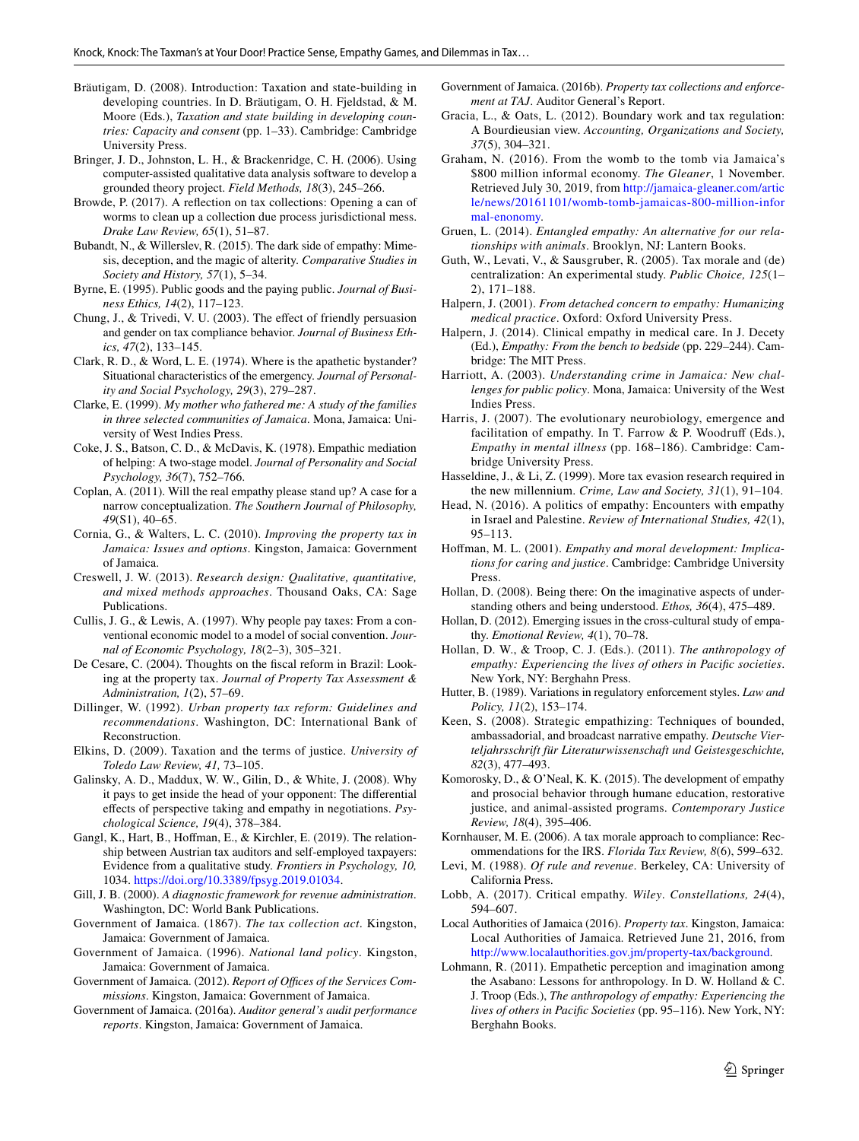- <span id="page-12-0"></span>Bräutigam, D. (2008). Introduction: Taxation and state-building in developing countries. In D. Bräutigam, O. H. Fjeldstad, & M. Moore (Eds.), *Taxation and state building in developing countries: Capacity and consent* (pp. 1–33). Cambridge: Cambridge University Press.
- <span id="page-12-27"></span>Bringer, J. D., Johnston, L. H., & Brackenridge, C. H. (2006). Using computer-assisted qualitative data analysis software to develop a grounded theory project. *Field Methods, 18*(3), 245–266.
- <span id="page-12-3"></span>Browde, P. (2017). A refection on tax collections: Opening a can of worms to clean up a collection due process jurisdictional mess. *Drake Law Review, 65*(1), 51–87.
- <span id="page-12-10"></span>Bubandt, N., & Willerslev, R. (2015). The dark side of empathy: Mimesis, deception, and the magic of alterity. *Comparative Studies in Society and History, 57*(1), 5–34.
- <span id="page-12-41"></span>Byrne, E. (1995). Public goods and the paying public. *Journal of Business Ethics, 14*(2), 117–123.
- <span id="page-12-5"></span>Chung, J., & Trivedi, V. U. (2003). The efect of friendly persuasion and gender on tax compliance behavior. *Journal of Business Ethics, 47*(2), 133–145.
- <span id="page-12-39"></span>Clark, R. D., & Word, L. E. (1974). Where is the apathetic bystander? Situational characteristics of the emergency. *Journal of Personality and Social Psychology, 29*(3), 279–287.
- <span id="page-12-30"></span>Clarke, E. (1999). *My mother who fathered me: A study of the families in three selected communities of Jamaica*. Mona, Jamaica: University of West Indies Press.
- <span id="page-12-17"></span>Coke, J. S., Batson, C. D., & McDavis, K. (1978). Empathic mediation of helping: A two-stage model. *Journal of Personality and Social Psychology, 36*(7), 752–766.
- <span id="page-12-22"></span>Coplan, A. (2011). Will the real empathy please stand up? A case for a narrow conceptualization. *The Southern Journal of Philosophy, 49*(S1), 40–65.
- <span id="page-12-1"></span>Cornia, G., & Walters, L. C. (2010). *Improving the property tax in Jamaica: Issues and options*. Kingston, Jamaica: Government of Jamaica.
- <span id="page-12-26"></span>Creswell, J. W. (2013). *Research design: Qualitative, quantitative, and mixed methods approaches*. Thousand Oaks, CA: Sage Publications.
- <span id="page-12-6"></span>Cullis, J. G., & Lewis, A. (1997). Why people pay taxes: From a conventional economic model to a model of social convention. *Journal of Economic Psychology, 18*(2–3), 305–321.
- <span id="page-12-7"></span>De Cesare, C. (2004). Thoughts on the fscal reform in Brazil: Looking at the property tax. *Journal of Property Tax Assessment & Administration, 1*(2), 57–69.
- <span id="page-12-32"></span>Dillinger, W. (1992). *Urban property tax reform: Guidelines and recommendations*. Washington, DC: International Bank of Reconstruction.
- <span id="page-12-37"></span>Elkins, D. (2009). Taxation and the terms of justice. *University of Toledo Law Review, 41,* 73–105.
- <span id="page-12-23"></span>Galinsky, A. D., Maddux, W. W., Gilin, D., & White, J. (2008). Why it pays to get inside the head of your opponent: The diferential efects of perspective taking and empathy in negotiations. *Psychological Science, 19*(4), 378–384.
- <span id="page-12-42"></span>Gangl, K., Hart, B., Hoffman, E., & Kirchler, E. (2019). The relationship between Austrian tax auditors and self-employed taxpayers: Evidence from a qualitative study. *Frontiers in Psychology, 10,* 1034. [https://doi.org/10.3389/fpsyg.2019.01034.](https://doi.org/10.3389/fpsyg.2019.01034)
- <span id="page-12-2"></span>Gill, J. B. (2000). *A diagnostic framework for revenue administration*. Washington, DC: World Bank Publications.
- <span id="page-12-44"></span>Government of Jamaica. (1867). *The tax collection act*. Kingston, Jamaica: Government of Jamaica.
- <span id="page-12-28"></span>Government of Jamaica. (1996). *National land policy*. Kingston, Jamaica: Government of Jamaica.
- <span id="page-12-31"></span>Government of Jamaica. (2012). *Report of Offices of the Services Commissions*. Kingston, Jamaica: Government of Jamaica.
- <span id="page-12-25"></span>Government of Jamaica. (2016a). *Auditor general's audit performance reports*. Kingston, Jamaica: Government of Jamaica.
- <span id="page-12-45"></span>Government of Jamaica. (2016b). *Property tax collections and enforcement at TAJ*. Auditor General's Report.
- <span id="page-12-8"></span>Gracia, L., & Oats, L. (2012). Boundary work and tax regulation: A Bourdieusian view. *Accounting, Organizations and Society, 37*(5), 304–321.
- <span id="page-12-35"></span>Graham, N. (2016). From the womb to the tomb via Jamaica's \$800 million informal economy. *The Gleaner*, 1 November. Retrieved July 30, 2019, from [http://jamaica-gleaner.com/artic](http://jamaica-gleaner.com/article/news/20161101/womb-tomb-jamaicas-800-million-informal-enonomy) [le/news/20161101/womb-tomb-jamaicas-800-million-infor](http://jamaica-gleaner.com/article/news/20161101/womb-tomb-jamaicas-800-million-informal-enonomy) [mal-enonomy.](http://jamaica-gleaner.com/article/news/20161101/womb-tomb-jamaicas-800-million-informal-enonomy)
- <span id="page-12-15"></span>Gruen, L. (2014). *Entangled empathy: An alternative for our relationships with animals*. Brooklyn, NJ: Lantern Books.
- <span id="page-12-43"></span>Guth, W., Levati, V., & Sausgruber, R. (2005). Tax morale and (de) centralization: An experimental study. *Public Choice, 125*(1– 2), 171–188.
- <span id="page-12-14"></span>Halpern, J. (2001). *From detached concern to empathy: Humanizing medical practice*. Oxford: Oxford University Press.
- <span id="page-12-24"></span>Halpern, J. (2014). Clinical empathy in medical care. In J. Decety (Ed.), *Empathy: From the bench to bedside* (pp. 229–244). Cambridge: The MIT Press.
- <span id="page-12-34"></span>Harriott, A. (2003). *Understanding crime in Jamaica: New challenges for public policy*. Mona, Jamaica: University of the West Indies Press.
- <span id="page-12-21"></span>Harris, J. (2007). The evolutionary neurobiology, emergence and facilitation of empathy. In T. Farrow & P. Woodruff (Eds.), *Empathy in mental illness* (pp. 168–186). Cambridge: Cambridge University Press.
- <span id="page-12-33"></span>Hasseldine, J., & Li, Z. (1999). More tax evasion research required in the new millennium. *Crime, Law and Society, 31*(1), 91–104.
- <span id="page-12-9"></span>Head, N. (2016). A politics of empathy: Encounters with empathy in Israel and Palestine. *Review of International Studies, 42*(1), 95–113.
- <span id="page-12-18"></span>Hofman, M. L. (2001). *Empathy and moral development: Implications for caring and justice*. Cambridge: Cambridge University Press.
- <span id="page-12-19"></span>Hollan, D. (2008). Being there: On the imaginative aspects of understanding others and being understood. *Ethos, 36*(4), 475–489.
- <span id="page-12-20"></span>Hollan, D. (2012). Emerging issues in the cross-cultural study of empathy. *Emotional Review, 4*(1), 70–78.
- <span id="page-12-12"></span>Hollan, D. W., & Troop, C. J. (Eds.). (2011). *The anthropology of empathy: Experiencing the lives of others in Pacifc societies*. New York, NY: Berghahn Press.
- <span id="page-12-4"></span>Hutter, B. (1989). Variations in regulatory enforcement styles. *Law and Policy, 11*(2), 153–174.
- <span id="page-12-40"></span>Keen, S. (2008). Strategic empathizing: Techniques of bounded, ambassadorial, and broadcast narrative empathy. *Deutsche Vierteljahrsschrift für Literaturwissenschaft und Geistesgeschichte, 82*(3), 477–493.
- <span id="page-12-16"></span>Komorosky, D., & O'Neal, K. K. (2015). The development of empathy and prosocial behavior through humane education, restorative justice, and animal-assisted programs. *Contemporary Justice Review, 18*(4), 395–406.
- <span id="page-12-36"></span>Kornhauser, M. E. (2006). A tax morale approach to compliance: Recommendations for the IRS. *Florida Tax Review, 8*(6), 599–632.
- <span id="page-12-38"></span>Levi, M. (1988). *Of rule and revenue*. Berkeley, CA: University of California Press.
- <span id="page-12-13"></span>Lobb, A. (2017). Critical empathy. *Wiley*. *Constellations, 24*(4), 594–607.
- <span id="page-12-29"></span>Local Authorities of Jamaica (2016). *Property tax*. Kingston, Jamaica: Local Authorities of Jamaica. Retrieved June 21, 2016, from [http://www.localauthorities.gov.jm/property-tax/background.](http://www.localauthorities.gov.jm/property-tax/background)
- <span id="page-12-11"></span>Lohmann, R. (2011). Empathetic perception and imagination among the Asabano: Lessons for anthropology. In D. W. Holland & C. J. Troop (Eds.), *The anthropology of empathy: Experiencing the lives of others in Pacifc Societies* (pp. 95–116). New York, NY: Berghahn Books.